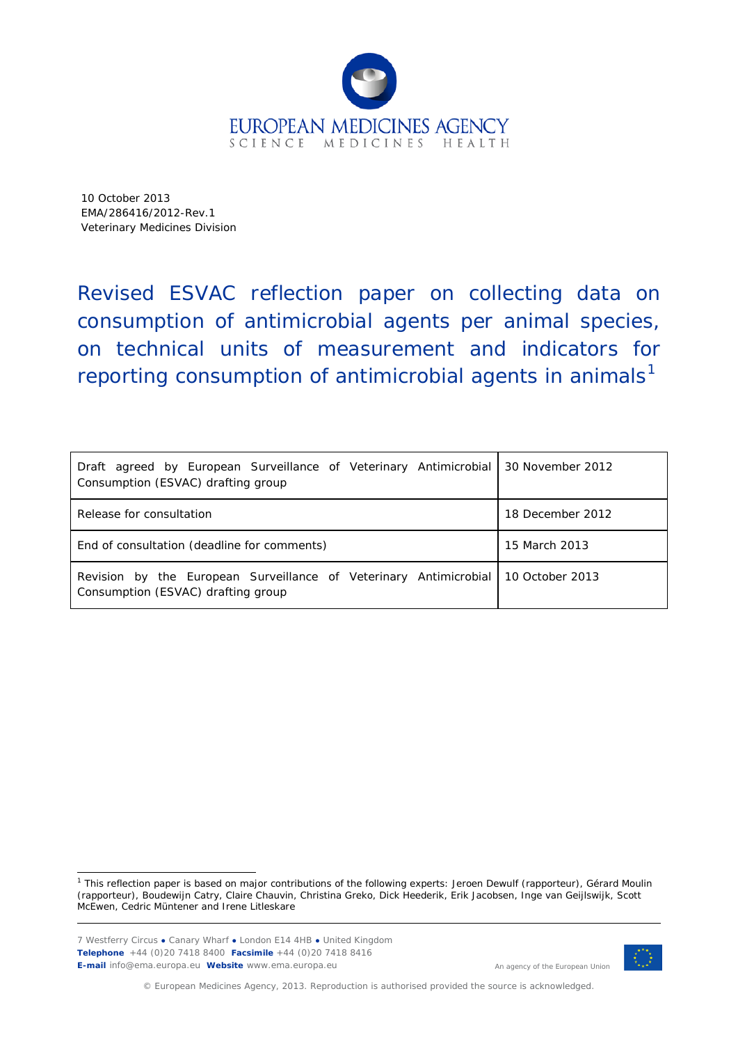

10 October 2013 EMA/286416/2012-Rev.1 Veterinary Medicines Division

Revised ESVAC reflection paper on collecting data on consumption of antimicrobial agents per animal species, on technical units of measurement and indicators for reporting consumption of antimicrobial agents in animals<sup>[1](#page-0-0)</sup>

| Draft agreed by European Surveillance of Veterinary Antimicrobial<br>Consumption (ESVAC) drafting group | 30 November 2012 |
|---------------------------------------------------------------------------------------------------------|------------------|
| Release for consultation                                                                                | 18 December 2012 |
| End of consultation (deadline for comments)                                                             | 15 March 2013    |
| Revision by the European Surveillance of Veterinary Antimicrobial<br>Consumption (ESVAC) drafting group | 10 October 2013  |

<span id="page-0-0"></span><sup>1</sup> This reflection paper is based on major contributions of the following experts: Jeroen Dewulf (rapporteur), Gérard Moulin (rapporteur), Boudewijn Catry, Claire Chauvin, Christina Greko, Dick Heederik, Erik Jacobsen, Inge van Geijlswijk, Scott McEwen, Cedric Müntener and Irene Litleskare ł

7 Westferry Circus **●** Canary Wharf **●** London E14 4HB **●** United Kingdom **Telephone** +44 (0)20 7418 8400 **Facsimile** +44 (0)20 7418 8416 **E-mail** info@ema.europa.eu **Website** www.ema.europa.eu



An agency of the European Union

© European Medicines Agency, 2013. Reproduction is authorised provided the source is acknowledged.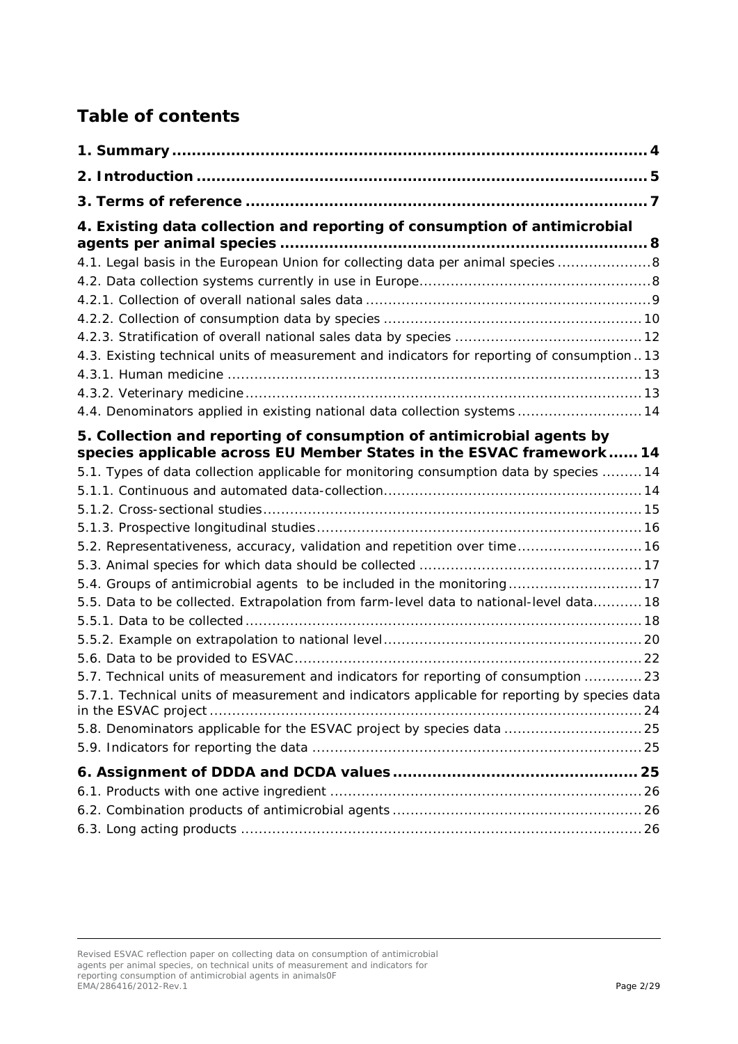# **Table of contents**

| 4. Existing data collection and reporting of consumption of antimicrobial                     |  |
|-----------------------------------------------------------------------------------------------|--|
| 4.1. Legal basis in the European Union for collecting data per animal species  8              |  |
|                                                                                               |  |
|                                                                                               |  |
|                                                                                               |  |
|                                                                                               |  |
| 4.3. Existing technical units of measurement and indicators for reporting of consumption13    |  |
|                                                                                               |  |
|                                                                                               |  |
| 4.4. Denominators applied in existing national data collection systems 14                     |  |
| 5. Collection and reporting of consumption of antimicrobial agents by                         |  |
| species applicable across EU Member States in the ESVAC framework 14                          |  |
| 5.1. Types of data collection applicable for monitoring consumption data by species  14       |  |
|                                                                                               |  |
|                                                                                               |  |
| 5.2. Representativeness, accuracy, validation and repetition over time 16                     |  |
|                                                                                               |  |
| 5.4. Groups of antimicrobial agents to be included in the monitoring 17                       |  |
| 5.5. Data to be collected. Extrapolation from farm-level data to national-level data 18       |  |
|                                                                                               |  |
|                                                                                               |  |
|                                                                                               |  |
| 5.7. Technical units of measurement and indicators for reporting of consumption  23           |  |
| 5.7.1. Technical units of measurement and indicators applicable for reporting by species data |  |
| 5.8. Denominators applicable for the ESVAC project by species data  25                        |  |
|                                                                                               |  |
|                                                                                               |  |
|                                                                                               |  |
|                                                                                               |  |
|                                                                                               |  |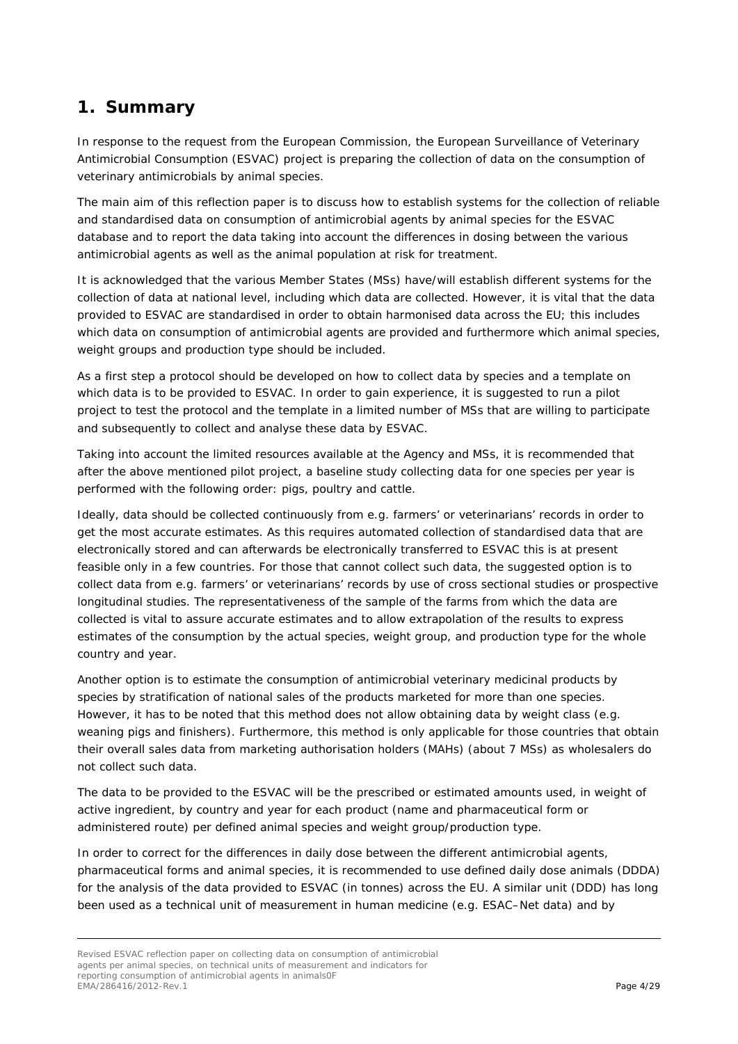## <span id="page-3-0"></span>**1. Summary**

In response to the request from the European Commission, the European Surveillance of Veterinary Antimicrobial Consumption (ESVAC) project is preparing the collection of data on the consumption of veterinary antimicrobials by animal species.

The main aim of this reflection paper is to discuss how to establish systems for the collection of reliable and standardised data on consumption of antimicrobial agents by animal species for the ESVAC database and to report the data taking into account the differences in dosing between the various antimicrobial agents as well as the animal population at risk for treatment.

It is acknowledged that the various Member States (MSs) have/will establish different systems for the collection of data at national level, including which data are collected. However, it is vital that the data provided to ESVAC are standardised in order to obtain harmonised data across the EU; this includes which data on consumption of antimicrobial agents are provided and furthermore which animal species, weight groups and production type should be included.

As a first step a protocol should be developed on how to collect data by species and a template on which data is to be provided to ESVAC. In order to gain experience, it is suggested to run a pilot project to test the protocol and the template in a limited number of MSs that are willing to participate and subsequently to collect and analyse these data by ESVAC.

Taking into account the limited resources available at the Agency and MSs, it is recommended that after the above mentioned pilot project, a baseline study collecting data for one species per year is performed with the following order: pigs, poultry and cattle.

Ideally, data should be collected continuously from e.g. farmers' or veterinarians' records in order to get the most accurate estimates. As this requires automated collection of standardised data that are electronically stored and can afterwards be electronically transferred to ESVAC this is at present feasible only in a few countries. For those that cannot collect such data, the suggested option is to collect data from e.g. farmers' or veterinarians' records by use of cross sectional studies or prospective longitudinal studies. The representativeness of the sample of the farms from which the data are collected is vital to assure accurate estimates and to allow extrapolation of the results to express estimates of the consumption by the actual species, weight group, and production type for the whole country and year.

Another option is to estimate the consumption of antimicrobial veterinary medicinal products by species by stratification of national sales of the products marketed for more than one species. However, it has to be noted that this method does not allow obtaining data by weight class (e.g. weaning pigs and finishers). Furthermore, this method is only applicable for those countries that obtain their overall sales data from marketing authorisation holders (MAHs) (about 7 MSs) as wholesalers do not collect such data.

The data to be provided to the ESVAC will be the prescribed or estimated amounts used, in weight of active ingredient, by country and year for each product (name and pharmaceutical form or administered route) per defined animal species and weight group/production type.

In order to correct for the differences in daily dose between the different antimicrobial agents, pharmaceutical forms and animal species, it is recommended to use defined daily dose animals (DDDA) for the analysis of the data provided to ESVAC (in tonnes) across the EU. A similar unit (DDD) has long been used as a technical unit of measurement in human medicine (e.g. ESAC–Net data) and by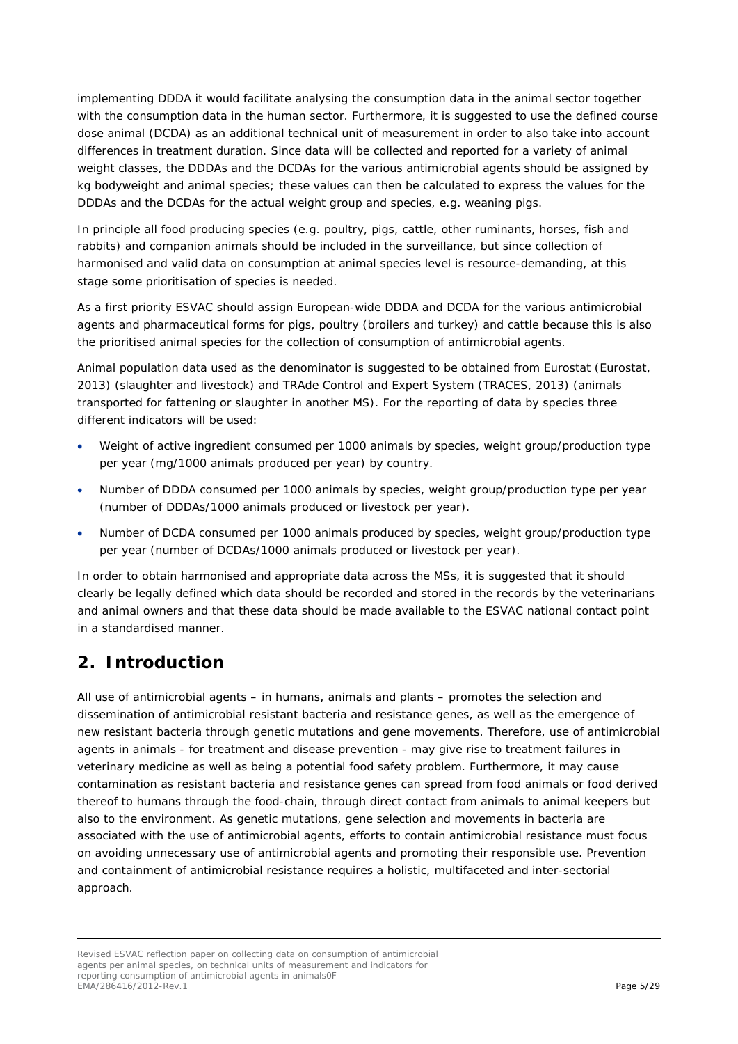implementing DDDA it would facilitate analysing the consumption data in the animal sector together with the consumption data in the human sector. Furthermore, it is suggested to use the defined course dose animal (DCDA) as an additional technical unit of measurement in order to also take into account differences in treatment duration. Since data will be collected and reported for a variety of animal weight classes, the DDDAs and the DCDAs for the various antimicrobial agents should be assigned by kg bodyweight and animal species; these values can then be calculated to express the values for the DDDAs and the DCDAs for the actual weight group and species, e.g. weaning pigs.

In principle all food producing species (e.g. poultry, pigs, cattle, other ruminants, horses, fish and rabbits) and companion animals should be included in the surveillance, but since collection of harmonised and valid data on consumption at animal species level is resource-demanding, at this stage some prioritisation of species is needed.

As a first priority ESVAC should assign European-wide DDDA and DCDA for the various antimicrobial agents and pharmaceutical forms for pigs, poultry (broilers and turkey) and cattle because this is also the prioritised animal species for the collection of consumption of antimicrobial agents.

Animal population data used as the denominator is suggested to be obtained from Eurostat (Eurostat, [2013\)](#page-28-0) (slaughter and livestock) and TRAde Control and Expert System [\(TRACES, 2013\)](#page-28-1) (animals transported for fattening or slaughter in another MS). For the reporting of data by species three different indicators will be used:

- Weight of active ingredient consumed per 1000 animals by species, weight group/production type per year (mg/1000 animals produced per year) by country.
- Number of DDDA consumed per 1000 animals by species, weight group/production type per year (number of DDDAs/1000 animals produced or livestock per year).
- Number of DCDA consumed per 1000 animals produced by species, weight group/production type per year (number of DCDAs/1000 animals produced or livestock per year).

In order to obtain harmonised and appropriate data across the MSs, it is suggested that it should clearly be legally defined which data should be recorded and stored in the records by the veterinarians and animal owners and that these data should be made available to the ESVAC national contact point in a standardised manner.

## <span id="page-4-0"></span>**2. Introduction**

All use of antimicrobial agents – in humans, animals and plants – promotes the selection and dissemination of antimicrobial resistant bacteria and resistance genes, as well as the emergence of new resistant bacteria through genetic mutations and gene movements. Therefore, use of antimicrobial agents in animals - for treatment and disease prevention - may give rise to treatment failures in veterinary medicine as well as being a potential food safety problem. Furthermore, it may cause contamination as resistant bacteria and resistance genes can spread from food animals or food derived thereof to humans through the food-chain, through direct contact from animals to animal keepers but also to the environment. As genetic mutations, gene selection and movements in bacteria are associated with the use of antimicrobial agents, efforts to contain antimicrobial resistance must focus on avoiding unnecessary use of antimicrobial agents and promoting their responsible use. Prevention and containment of antimicrobial resistance requires a holistic, multifaceted and inter-sectorial approach.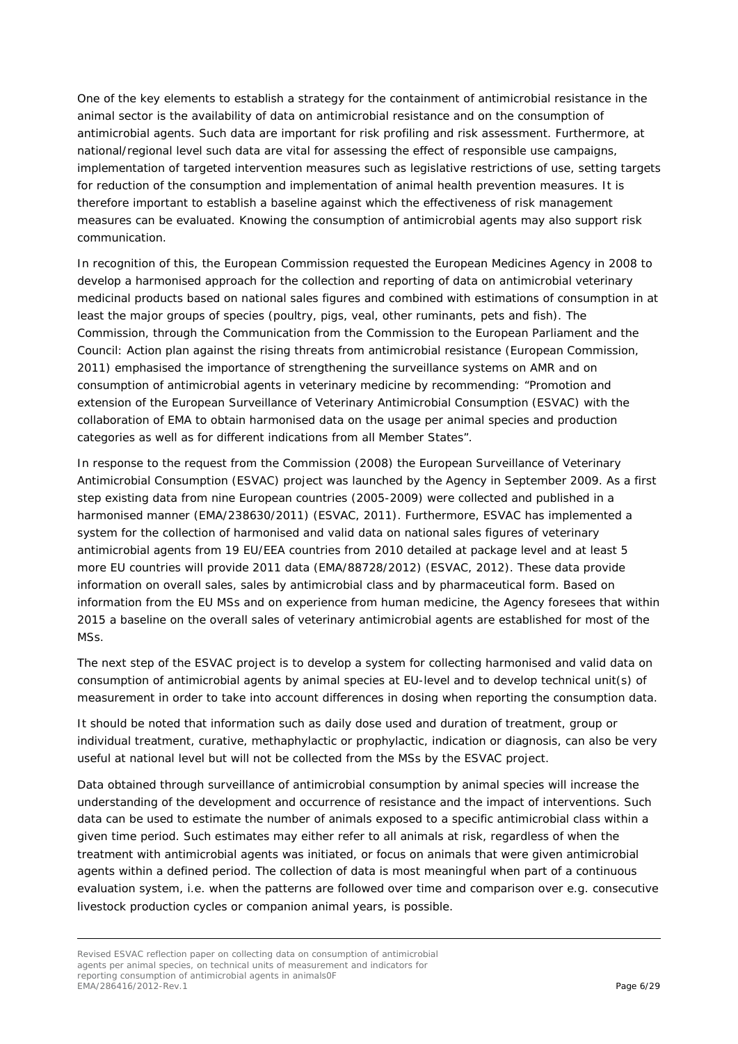One of the key elements to establish a strategy for the containment of antimicrobial resistance in the animal sector is the availability of data on antimicrobial resistance and on the consumption of antimicrobial agents. Such data are important for risk profiling and risk assessment. Furthermore, at national/regional level such data are vital for assessing the effect of responsible use campaigns, implementation of targeted intervention measures such as legislative restrictions of use, setting targets for reduction of the consumption and implementation of animal health prevention measures. It is therefore important to establish a baseline against which the effectiveness of risk management measures can be evaluated. Knowing the consumption of antimicrobial agents may also support risk communication.

In recognition of this, the European Commission requested the European Medicines Agency in 2008 to develop a harmonised approach for the collection and reporting of data on antimicrobial veterinary medicinal products based on national sales figures and combined with estimations of consumption in at least the major groups of species (poultry, pigs, veal, other ruminants, pets and fish). The Commission, through the *Communication from the Commission to the European Parliament and the Council: Action plan against the rising threats from antimicrobial resistance* [\(European Commission,](#page-28-2)  [2011\)](#page-28-2) emphasised the importance of strengthening the surveillance systems on AMR and on consumption of antimicrobial agents in veterinary medicine by recommending: "*Promotion and extension of the European Surveillance of Veterinary Antimicrobial Consumption (ESVAC) with the collaboration of EMA to obtain harmonised data on the usage per animal species and production categories as well as for different indications from all Member States"*.

In response to the request from the Commission (2008) the European Surveillance of Veterinary Antimicrobial Consumption (ESVAC) project was launched by the Agency in September 2009. As a first step existing data from nine European countries (2005-2009) were collected and published in a harmonised manner (EMA/238630/2011) [\(ESVAC, 2011\)](#page-28-3). Furthermore, ESVAC has implemented a system for the collection of harmonised and valid data on national sales figures of veterinary antimicrobial agents from 19 EU/EEA countries from 2010 detailed at package level and at least 5 more EU countries will provide 2011 data (EMA/88728/2012) [\(ESVAC, 2012\)](#page-28-4). These data provide information on overall sales, sales by antimicrobial class and by pharmaceutical form. Based on information from the EU MSs and on experience from human medicine, the Agency foresees that within 2015 a baseline on the overall sales of veterinary antimicrobial agents are established for most of the MSs.

The next step of the ESVAC project is to develop a system for collecting harmonised and valid data on consumption of antimicrobial agents by animal species at EU-level and to develop technical unit(s) of measurement in order to take into account differences in dosing when reporting the consumption data.

It should be noted that information such as daily dose used and duration of treatment, group or individual treatment, curative, methaphylactic or prophylactic, indication or diagnosis, can also be very useful at national level but will not be collected from the MSs by the ESVAC project.

Data obtained through surveillance of antimicrobial consumption by animal species will increase the understanding of the development and occurrence of resistance and the impact of interventions. Such data can be used to estimate the number of animals exposed to a specific antimicrobial class within a given time period. Such estimates may either refer to all animals at risk, regardless of when the treatment with antimicrobial agents was initiated, or focus on animals that were given antimicrobial agents within a defined period. The collection of data is most meaningful when part of a continuous evaluation system, i.e. when the patterns are followed over time and comparison over e.g. consecutive livestock production cycles or companion animal years, is possible.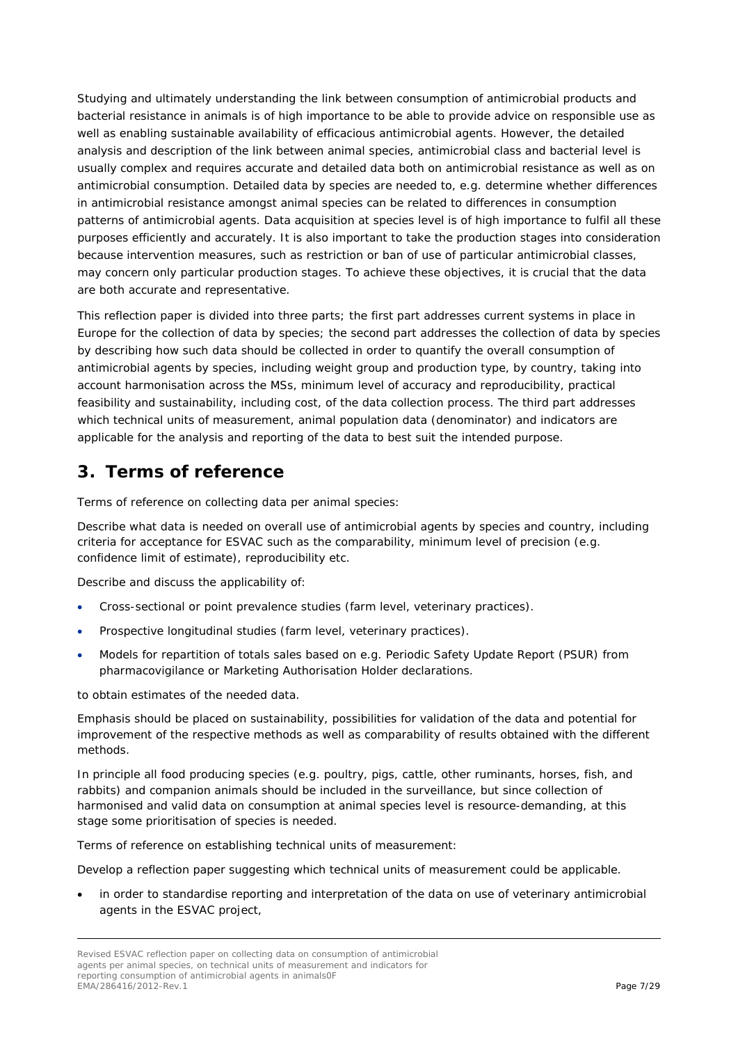Studying and ultimately understanding the link between consumption of antimicrobial products and bacterial resistance in animals is of high importance to be able to provide advice on responsible use as well as enabling sustainable availability of efficacious antimicrobial agents. However, the detailed analysis and description of the link between animal species, antimicrobial class and bacterial level is usually complex and requires accurate and detailed data both on antimicrobial resistance as well as on antimicrobial consumption. Detailed data by species are needed to, e.g. determine whether differences in antimicrobial resistance amongst animal species can be related to differences in consumption patterns of antimicrobial agents. Data acquisition at species level is of high importance to fulfil all these purposes efficiently and accurately. It is also important to take the production stages into consideration because intervention measures, such as restriction or ban of use of particular antimicrobial classes, may concern only particular production stages. To achieve these objectives, it is crucial that the data are both accurate and representative.

This reflection paper is divided into three parts; the first part addresses current systems in place in Europe for the collection of data by species; the second part addresses the collection of data by species by describing how such data should be collected in order to quantify the overall consumption of antimicrobial agents by species, including weight group and production type, by country, taking into account harmonisation across the MSs, minimum level of accuracy and reproducibility, practical feasibility and sustainability, including cost, of the data collection process. The third part addresses which technical units of measurement, animal population data (denominator) and indicators are applicable for the analysis and reporting of the data to best suit the intended purpose.

# <span id="page-6-0"></span>**3. Terms of reference**

Terms of reference on collecting data per animal species:

*Describe what data is needed on overall use of antimicrobial agents by species and country, including criteria for acceptance for ESVAC such as the comparability, minimum level of precision (e.g. confidence limit of estimate), reproducibility etc.*

*Describe and discuss the applicability of:*

- *Cross-sectional or point prevalence studies (farm level, veterinary practices).*
- *Prospective longitudinal studies (farm level, veterinary practices).*
- *Models for repartition of totals sales based on e.g. Periodic Safety Update Report (PSUR) from pharmacovigilance or Marketing Authorisation Holder declarations.*

*to obtain estimates of the needed data.*

*Emphasis should be placed on sustainability, possibilities for validation of the data and potential for improvement of the respective methods as well as comparability of results obtained with the different methods.*

In principle all food producing species (e.g. poultry, pigs, cattle, other ruminants, horses, fish, and rabbits) and companion animals should be included in the surveillance, but since collection of harmonised and valid data on consumption at animal species level is resource-demanding, at this stage some prioritisation of species is needed.

Terms of reference on establishing technical units of measurement:

*Develop a reflection paper suggesting which technical units of measurement could be applicable.* 

• *in order to standardise reporting and interpretation of the data on use of veterinary antimicrobial agents in the ESVAC project,*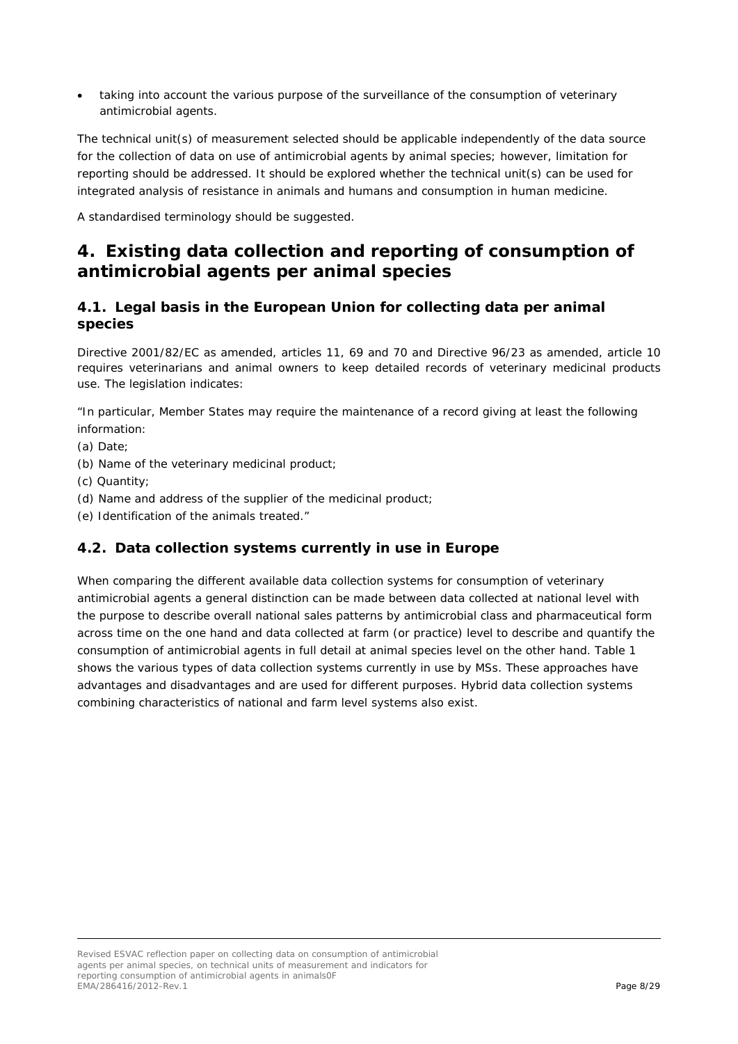• *taking into account the various purpose of the surveillance of the consumption of veterinary antimicrobial agents.*

*The technical unit(s) of measurement selected should be applicable independently of the data source for the collection of data on use of antimicrobial agents by animal species; however, limitation for reporting should be addressed. It should be explored whether the technical unit(s) can be used for integrated analysis of resistance in animals and humans and consumption in human medicine.*

*A standardised terminology should be suggested.*

## <span id="page-7-0"></span>**4. Existing data collection and reporting of consumption of antimicrobial agents per animal species**

### <span id="page-7-1"></span>*4.1. Legal basis in the European Union for collecting data per animal species*

Directive 2001/82/EC as amended, articles 11, 69 and 70 and Directive 96/23 as amended, article 10 requires veterinarians and animal owners to keep detailed records of veterinary medicinal products use. The legislation indicates:

*"In particular, Member States may require the maintenance of a record giving at least the following information:*

- *(a) Date;*
- *(b) Name of the veterinary medicinal product;*
- *(c) Quantity;*
- *(d) Name and address of the supplier of the medicinal product;*
- <span id="page-7-2"></span>*(e) Identification of the animals treated."*

#### *4.2. Data collection systems currently in use in Europe*

When comparing the different available data collection systems for consumption of veterinary antimicrobial agents a general distinction can be made between data collected at national level with the purpose to describe overall national sales patterns by antimicrobial class and pharmaceutical form across time on the one hand and data collected at farm (or practice) level to describe and quantify the consumption of antimicrobial agents in full detail at animal species level on the other hand. Table 1 shows the various types of data collection systems currently in use by MSs. These approaches have advantages and disadvantages and are used for different purposes. Hybrid data collection systems combining characteristics of national and farm level systems also exist.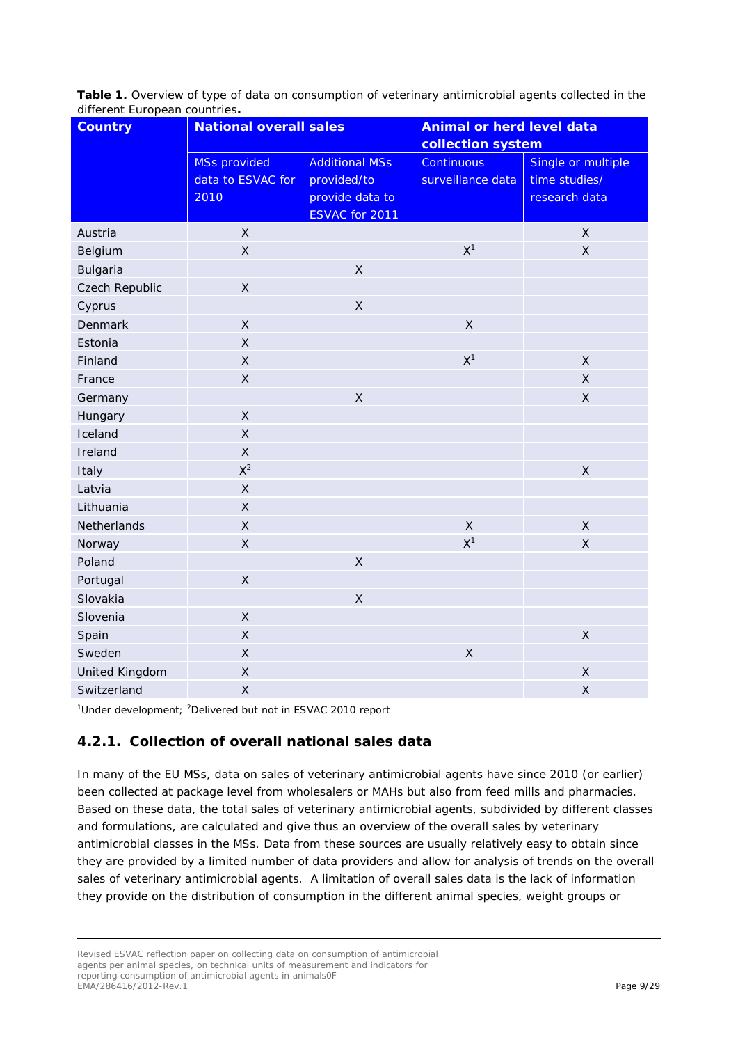**Table 1.** Overview of type of data on consumption of veterinary antimicrobial agents collected in the different European countries**.** 

| <b>Country</b>        | <b>National overall sales</b>                    |                                                                           | <b>Animal or herd level data</b><br>collection system |                                                      |
|-----------------------|--------------------------------------------------|---------------------------------------------------------------------------|-------------------------------------------------------|------------------------------------------------------|
|                       | <b>MSs provided</b><br>data to ESVAC for<br>2010 | <b>Additional MSs</b><br>provided/to<br>provide data to<br>ESVAC for 2011 | <b>Continuous</b><br>surveillance data                | Single or multiple<br>time studies/<br>research data |
| Austria               | $\mathsf{X}$                                     |                                                                           |                                                       | $\mathsf{X}$                                         |
| Belgium               | $\mathsf X$                                      |                                                                           | X <sup>1</sup>                                        | $\mathsf X$                                          |
| <b>Bulgaria</b>       |                                                  | $\mathsf{X}$                                                              |                                                       |                                                      |
| Czech Republic        | $\mathsf X$                                      |                                                                           |                                                       |                                                      |
| Cyprus                |                                                  | $\mathsf X$                                                               |                                                       |                                                      |
| <b>Denmark</b>        | $\mathsf{X}$                                     |                                                                           | $\mathsf{X}$                                          |                                                      |
| Estonia               | $\mathsf{X}$                                     |                                                                           |                                                       |                                                      |
| Finland               | $\mathsf X$                                      |                                                                           | X <sup>1</sup>                                        | $\mathsf X$                                          |
| France                | $\mathsf{X}$                                     |                                                                           |                                                       | $\mathsf{X}$                                         |
| Germany               |                                                  | $\mathsf{X}$                                                              |                                                       | $\pmb{\times}$                                       |
| Hungary               | $\mathsf X$                                      |                                                                           |                                                       |                                                      |
| Iceland               | $\mathsf{X}$                                     |                                                                           |                                                       |                                                      |
| Ireland               | $\mathsf{X}$                                     |                                                                           |                                                       |                                                      |
| Italy                 | $X^2$                                            |                                                                           |                                                       | $\mathsf{X}$                                         |
| Latvia                | $\mathsf{X}$                                     |                                                                           |                                                       |                                                      |
| Lithuania             | $\mathsf{X}$                                     |                                                                           |                                                       |                                                      |
| Netherlands           | $\mathsf{X}$                                     |                                                                           | $\mathsf X$                                           | $\mathsf{X}$                                         |
| Norway                | $\mathsf{X}$                                     |                                                                           | X <sup>1</sup>                                        | $\mathsf{X}$                                         |
| Poland                |                                                  | $\mathsf{X}$                                                              |                                                       |                                                      |
| Portugal              | $\mathsf X$                                      |                                                                           |                                                       |                                                      |
| Slovakia              |                                                  | $\mathsf{X}$                                                              |                                                       |                                                      |
| Slovenia              | $\mathsf X$                                      |                                                                           |                                                       |                                                      |
| Spain                 | $\mathsf X$                                      |                                                                           |                                                       | $\mathsf{X}$                                         |
| Sweden                | $\mathsf{X}$                                     |                                                                           | $\mathsf X$                                           |                                                      |
| <b>United Kingdom</b> | $\mathsf X$                                      |                                                                           |                                                       | $\pmb{\times}$                                       |
| Switzerland           | $\mathsf X$                                      |                                                                           |                                                       | $\mathsf X$                                          |

<sup>1</sup>Under development; <sup>2</sup>Delivered but not in ESVAC 2010 report

## <span id="page-8-0"></span>**4.2.1. Collection of overall national sales data**

In many of the EU MSs, data on sales of veterinary antimicrobial agents have since 2010 (or earlier) been collected at package level from wholesalers or MAHs but also from feed mills and pharmacies. Based on these data, the total sales of veterinary antimicrobial agents, subdivided by different classes and formulations, are calculated and give thus an overview of the overall sales by veterinary antimicrobial classes in the MSs. Data from these sources are usually relatively easy to obtain since they are provided by a limited number of data providers and allow for analysis of trends on the overall sales of veterinary antimicrobial agents. A limitation of overall sales data is the lack of information they provide on the distribution of consumption in the different animal species, weight groups or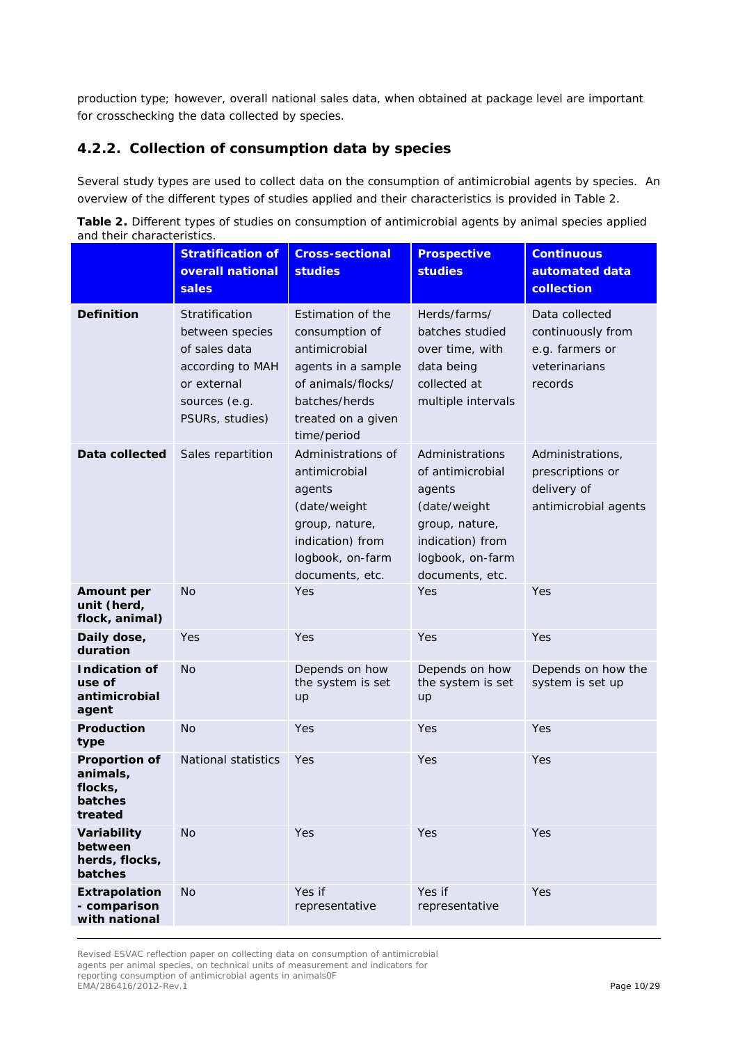production type; however, overall national sales data, when obtained at package level are important for crosschecking the data collected by species.

### <span id="page-9-0"></span>**4.2.2. Collection of consumption data by species**

Several study types are used to collect data on the consumption of antimicrobial agents by species. An overview of the different types of studies applied and their characteristics is provided in Table 2.

**Table 2.** Different types of studies on consumption of antimicrobial agents by animal species applied and their characteristics.

|                                                                   | <b>Stratification of</b><br>overall national<br>sales                                                                     | <b>Cross-sectional</b><br><b>studies</b>                                                                                                               | <b>Prospective</b><br><b>studies</b>                                                                                                       | <b>Continuous</b><br>automated data<br>collection                                  |
|-------------------------------------------------------------------|---------------------------------------------------------------------------------------------------------------------------|--------------------------------------------------------------------------------------------------------------------------------------------------------|--------------------------------------------------------------------------------------------------------------------------------------------|------------------------------------------------------------------------------------|
| <b>Definition</b>                                                 | Stratification<br>between species<br>of sales data<br>according to MAH<br>or external<br>sources (e.g.<br>PSURs, studies) | Estimation of the<br>consumption of<br>antimicrobial<br>agents in a sample<br>of animals/flocks/<br>batches/herds<br>treated on a given<br>time/period | Herds/farms/<br>batches studied<br>over time, with<br>data being<br>collected at<br>multiple intervals                                     | Data collected<br>continuously from<br>e.g. farmers or<br>veterinarians<br>records |
| Data collected                                                    | Sales repartition                                                                                                         | Administrations of<br>antimicrobial<br>agents<br>(date/weight<br>group, nature,<br>indication) from<br>logbook, on-farm<br>documents, etc.             | Administrations<br>of antimicrobial<br>agents<br>(date/weight<br>group, nature,<br>indication) from<br>logbook, on-farm<br>documents, etc. | Administrations,<br>prescriptions or<br>delivery of<br>antimicrobial agents        |
| <b>Amount per</b><br>unit (herd,<br>flock, animal)                | <b>No</b>                                                                                                                 | Yes                                                                                                                                                    | Yes                                                                                                                                        | Yes                                                                                |
| Daily dose,<br>duration                                           | Yes                                                                                                                       | Yes                                                                                                                                                    | Yes                                                                                                                                        | Yes                                                                                |
| <b>Indication of</b><br>use of<br>antimicrobial<br>agent          | <b>No</b>                                                                                                                 | Depends on how<br>the system is set<br>up                                                                                                              | Depends on how<br>the system is set<br>up                                                                                                  | Depends on how the<br>system is set up                                             |
| Production<br>type                                                | <b>No</b>                                                                                                                 | Yes                                                                                                                                                    | Yes                                                                                                                                        | Yes                                                                                |
| <b>Proportion of</b><br>animals,<br>flocks,<br>batches<br>treated | National statistics                                                                                                       | Yes                                                                                                                                                    | Yes                                                                                                                                        | Yes                                                                                |
| Variability<br>between<br>herds, flocks,<br>batches               | <b>No</b>                                                                                                                 | Yes                                                                                                                                                    | Yes                                                                                                                                        | Yes                                                                                |
| Extrapolation<br>- comparison<br>with national                    | <b>No</b>                                                                                                                 | Yes if<br>representative                                                                                                                               | Yes if<br>representative                                                                                                                   | Yes                                                                                |

Revised ESVAC reflection paper on collecting data on consumption of antimicrobial agents per animal species, on technical units of measurement and indicators for reporting consumption of antimicrobial agents in animals0F EMA/286416/2012-Rev.1 Page 10/29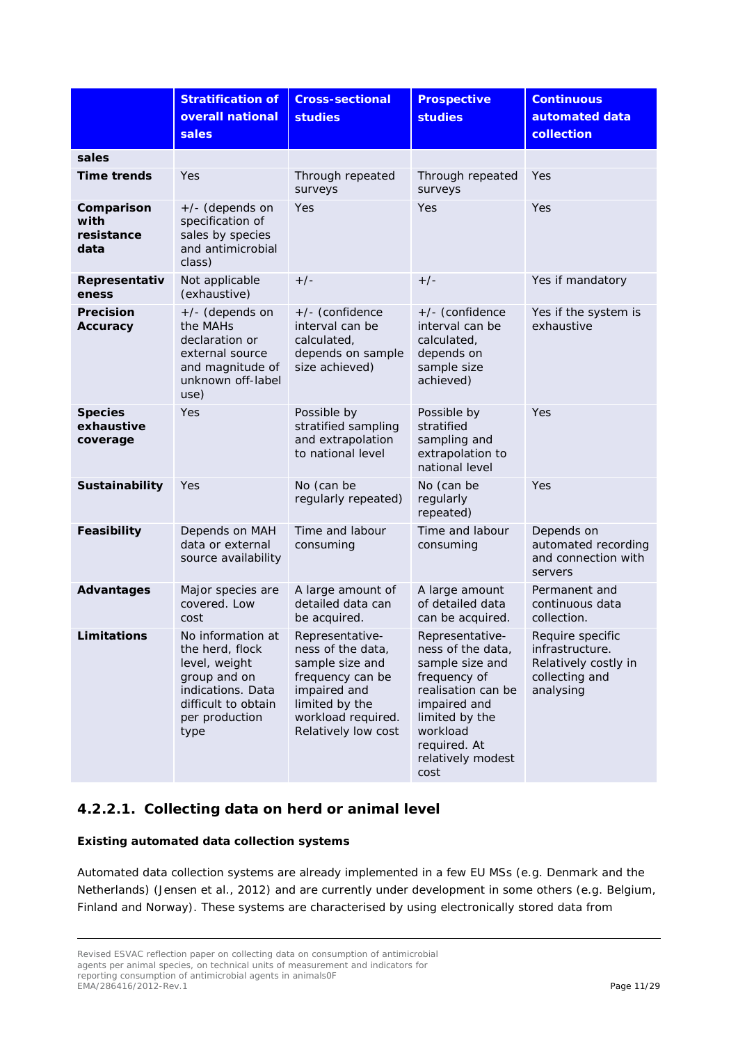|                                          | <b>Stratification of</b><br>overall national<br>sales                                                                                       | <b>Cross-sectional</b><br><b>studies</b>                                                                                                                   | <b>Prospective</b><br><b>studies</b>                                                                                                                                                     | <b>Continuous</b><br>automated data<br>collection                                          |
|------------------------------------------|---------------------------------------------------------------------------------------------------------------------------------------------|------------------------------------------------------------------------------------------------------------------------------------------------------------|------------------------------------------------------------------------------------------------------------------------------------------------------------------------------------------|--------------------------------------------------------------------------------------------|
| sales                                    |                                                                                                                                             |                                                                                                                                                            |                                                                                                                                                                                          |                                                                                            |
| <b>Time trends</b>                       | Yes                                                                                                                                         | Through repeated<br>surveys                                                                                                                                | Through repeated<br>surveys                                                                                                                                                              | Yes                                                                                        |
| Comparison<br>with<br>resistance<br>data | +/- (depends on<br>specification of<br>sales by species<br>and antimicrobial<br>class)                                                      | Yes                                                                                                                                                        | Yes                                                                                                                                                                                      | Yes                                                                                        |
| Representativ<br>eness                   | Not applicable<br>(exhaustive)                                                                                                              | $+/-$                                                                                                                                                      | $+/-$                                                                                                                                                                                    | Yes if mandatory                                                                           |
| <b>Precision</b><br>Accuracy             | +/- (depends on<br>the MAHs<br>declaration or<br>external source<br>and magnitude of<br>unknown off-label<br>use)                           | +/- (confidence<br>interval can be<br>calculated,<br>depends on sample<br>size achieved)                                                                   | +/- (confidence<br>interval can be<br>calculated,<br>depends on<br>sample size<br>achieved)                                                                                              | Yes if the system is<br>exhaustive                                                         |
| <b>Species</b><br>exhaustive<br>coverage | Yes                                                                                                                                         | Possible by<br>stratified sampling<br>and extrapolation<br>to national level                                                                               | Possible by<br>stratified<br>sampling and<br>extrapolation to<br>national level                                                                                                          | Yes                                                                                        |
| Sustainability                           | Yes                                                                                                                                         | No (can be<br>regularly repeated)                                                                                                                          | No (can be<br>regularly<br>repeated)                                                                                                                                                     | Yes                                                                                        |
| Feasibility                              | Depends on MAH<br>data or external<br>source availability                                                                                   | Time and labour<br>consuming                                                                                                                               | Time and labour<br>consuming                                                                                                                                                             | Depends on<br>automated recording<br>and connection with<br>servers                        |
| <b>Advantages</b>                        | Major species are<br>covered. Low<br>cost                                                                                                   | A large amount of<br>detailed data can<br>be acquired.                                                                                                     | A large amount<br>of detailed data<br>can be acquired.                                                                                                                                   | Permanent and<br>continuous data<br>collection.                                            |
| Limitations                              | No information at<br>the herd, flock<br>level, weight<br>group and on<br>indications. Data<br>difficult to obtain<br>per production<br>type | Representative-<br>ness of the data,<br>sample size and<br>frequency can be<br>impaired and<br>limited by the<br>workload required.<br>Relatively low cost | Representative-<br>ness of the data,<br>sample size and<br>frequency of<br>realisation can be<br>impaired and<br>limited by the<br>workload<br>required. At<br>relatively modest<br>cost | Require specific<br>infrastructure.<br>Relatively costly in<br>collecting and<br>analysing |

## **4.2.2.1. Collecting data on herd or animal level**

#### *Existing automated data collection systems*

Automated data collection systems are already implemented in a few EU MSs (e.g. Denmark and the Netherlands) [\(Jensen et al., 2012\)](#page-28-5) and are currently under development in some others (e.g. Belgium, Finland and Norway). These systems are characterised by using electronically stored data from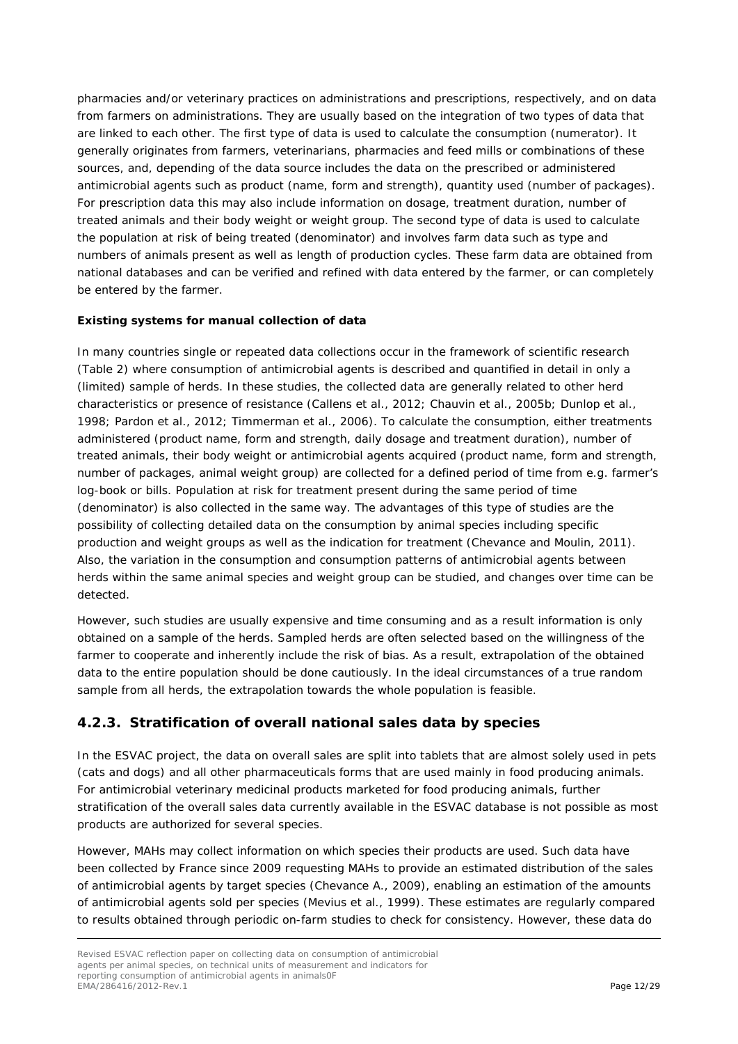pharmacies and/or veterinary practices on administrations and prescriptions, respectively, and on data from farmers on administrations. They are usually based on the integration of two types of data that are linked to each other. The first type of data is used to calculate the consumption (numerator). It generally originates from farmers, veterinarians, pharmacies and feed mills or combinations of these sources, and, depending of the data source includes the data on the prescribed or administered antimicrobial agents such as product (name, form and strength), quantity used (number of packages). For prescription data this may also include information on dosage, treatment duration, number of treated animals and their body weight or weight group. The second type of data is used to calculate the population at risk of being treated (denominator) and involves farm data such as type and numbers of animals present as well as length of production cycles. These farm data are obtained from national databases and can be verified and refined with data entered by the farmer, or can completely be entered by the farmer.

#### *Existing systems for manual collection of data*

In many countries single or repeated data collections occur in the framework of scientific research (Table 2) where consumption of antimicrobial agents is described and quantified in detail in only a (limited) sample of herds. In these studies, the collected data are generally related to other herd characteristics or presence of resistance [\(Callens et al., 2012;](#page-27-3) [Chauvin et al., 2005b;](#page-27-4) [Dunlop et al.,](#page-28-6)  [1998;](#page-28-6) [Pardon et al., 2012;](#page-28-7) [Timmerman et al., 2006\)](#page-28-8). To calculate the consumption, either treatments administered (product name, form and strength, daily dosage and treatment duration), number of treated animals, their body weight or antimicrobial agents acquired (product name, form and strength, number of packages, animal weight group) are collected for a defined period of time from e.g. farmer's log-book or bills. Population at risk for treatment present during the same period of time (denominator) is also collected in the same way. The advantages of this type of studies are the possibility of collecting detailed data on the consumption by animal species including specific production and weight groups as well as the indication for treatment [\(Chevance and Moulin, 2011\)](#page-27-5). Also, the variation in the consumption and consumption patterns of antimicrobial agents between herds within the same animal species and weight group can be studied, and changes over time can be detected.

However, such studies are usually expensive and time consuming and as a result information is only obtained on a sample of the herds. Sampled herds are often selected based on the willingness of the farmer to cooperate and inherently include the risk of bias. As a result, extrapolation of the obtained data to the entire population should be done cautiously. In the ideal circumstances of a true random sample from all herds, the extrapolation towards the whole population is feasible.

## <span id="page-11-0"></span>**4.2.3. Stratification of overall national sales data by species**

In the ESVAC project, the data on overall sales are split into tablets that are almost solely used in pets (cats and dogs) and all other pharmaceuticals forms that are used mainly in food producing animals. For antimicrobial veterinary medicinal products marketed for food producing animals, further stratification of the overall sales data currently available in the ESVAC database is not possible as most products are authorized for several species.

However, MAHs may collect information on which species their products are used. Such data have been collected by France since 2009 requesting MAHs to provide an estimated distribution of the sales of antimicrobial agents by target species [\(Chevance A., 2009\)](#page-28-9), enabling an estimation of the amounts of antimicrobial agents sold per species [\(Mevius et al., 1999\)](#page-28-10). These estimates are regularly compared to results obtained through periodic on-farm studies to check for consistency. However, these data do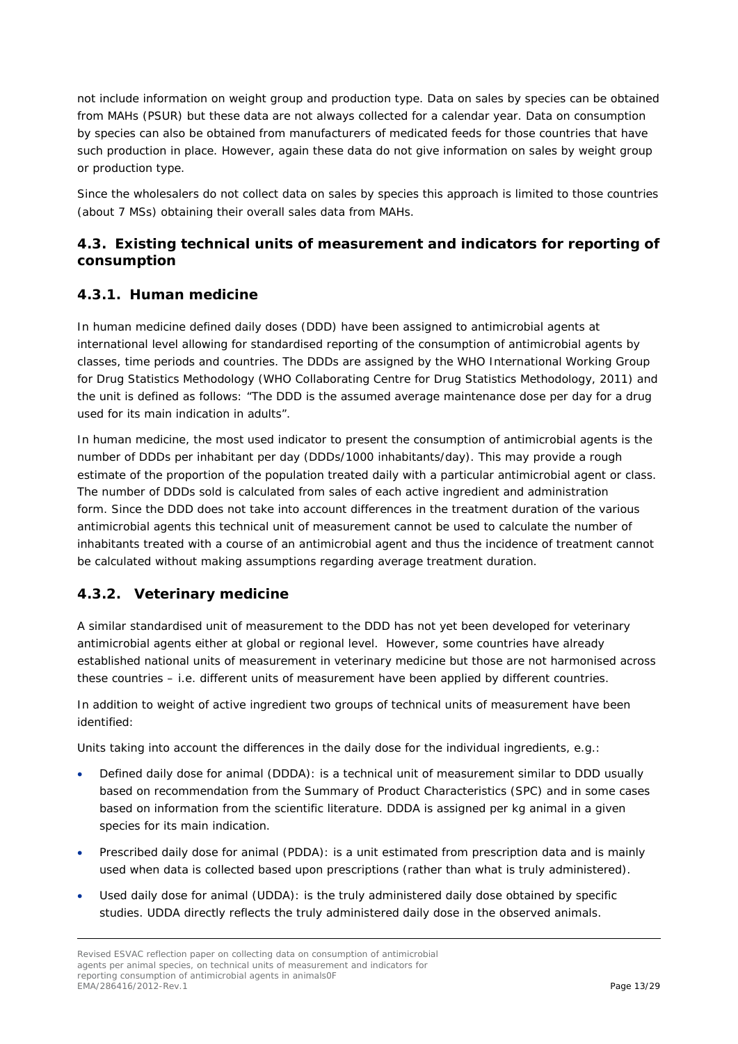not include information on weight group and production type. Data on sales by species can be obtained from MAHs (PSUR) but these data are not always collected for a calendar year. Data on consumption by species can also be obtained from manufacturers of medicated feeds for those countries that have such production in place. However, again these data do not give information on sales by weight group or production type.

Since the wholesalers do not collect data on sales by species this approach is limited to those countries (about 7 MSs) obtaining their overall sales data from MAHs.

## <span id="page-12-0"></span>*4.3. Existing technical units of measurement and indicators for reporting of consumption*

### <span id="page-12-1"></span>**4.3.1. Human medicine**

In human medicine defined daily doses (DDD) have been assigned to antimicrobial agents at international level allowing for standardised reporting of the consumption of antimicrobial agents by classes, time periods and countries. The DDDs are assigned by the WHO International Working Group for Drug Statistics Methodology (WHO Collaborating Centre for Drug Statistics Methodology, 2011) and the unit is defined as follows: "The DDD is the assumed average maintenance dose per day for a drug used for its main indication in adults".

In human medicine, the most used indicator to present the consumption of antimicrobial agents is the number of DDDs per inhabitant per day (DDDs/1000 inhabitants/day). This may provide a rough estimate of the proportion of the population treated daily with a particular antimicrobial agent or class. The number of DDDs sold is calculated from sales of each active ingredient and administration form. Since the DDD does not take into account differences in the treatment duration of the various antimicrobial agents this technical unit of measurement cannot be used to calculate the number of inhabitants treated with a course of an antimicrobial agent and thus the incidence of treatment cannot be calculated without making assumptions regarding average treatment duration.

## <span id="page-12-2"></span>**4.3.2. Veterinary medicine**

A similar standardised unit of measurement to the DDD has not yet been developed for veterinary antimicrobial agents either at global or regional level. However, some countries have already established national units of measurement in veterinary medicine but those are not harmonised across these countries – i.e. different units of measurement have been applied by different countries.

In addition to weight of active ingredient two groups of technical units of measurement have been identified:

Units taking into account the differences in the daily dose for the individual ingredients, e.g.:

- Defined daily dose for animal (DDDA): is a technical unit of measurement similar to DDD usually based on recommendation from the Summary of Product Characteristics (SPC) and in some cases based on information from the scientific literature. DDDA is assigned per kg animal in a given species for its main indication.
- Prescribed daily dose for animal (PDDA): is a unit estimated from prescription data and is mainly used when data is collected based upon prescriptions (rather than what is truly administered).
- Used daily dose for animal (UDDA): is the truly administered daily dose obtained by specific studies. UDDA directly reflects the truly administered daily dose in the observed animals.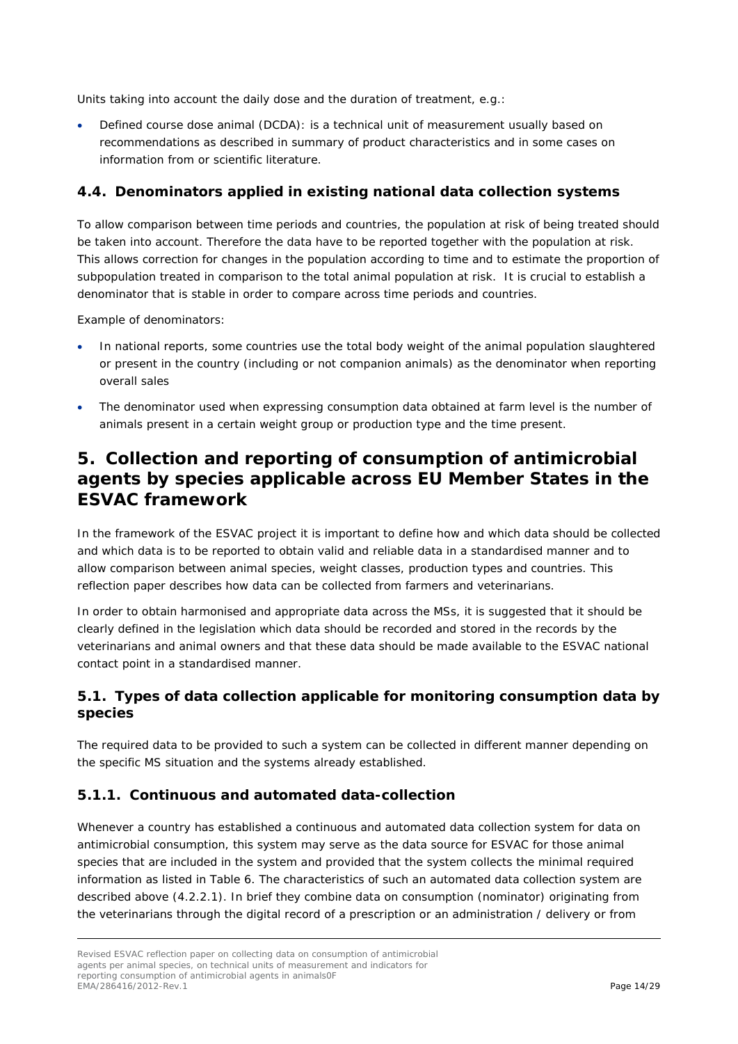Units taking into account the daily dose and the duration of treatment, e.g.:

• Defined course dose animal (DCDA): is a technical unit of measurement usually based on recommendations as described in summary of product characteristics and in some cases on information from or scientific literature.

### <span id="page-13-0"></span>*4.4. Denominators applied in existing national data collection systems*

To allow comparison between time periods and countries, the population at risk of being treated should be taken into account. Therefore the data have to be reported together with the population at risk. This allows correction for changes in the population according to time and to estimate the proportion of subpopulation treated in comparison to the total animal population at risk. It is crucial to establish a denominator that is stable in order to compare across time periods and countries.

Example of denominators:

- In national reports, some countries use the total body weight of the animal population slaughtered or present in the country (including or not companion animals) as the denominator when reporting overall sales
- The denominator used when expressing consumption data obtained at farm level is the number of animals present in a certain weight group or production type and the time present.

## <span id="page-13-1"></span>**5. Collection and reporting of consumption of antimicrobial agents by species applicable across EU Member States in the ESVAC framework**

In the framework of the ESVAC project it is important to define how and which data should be collected and which data is to be reported to obtain valid and reliable data in a standardised manner and to allow comparison between animal species, weight classes, production types and countries. This reflection paper describes how data can be collected from farmers and veterinarians.

In order to obtain harmonised and appropriate data across the MSs, it is suggested that it should be clearly defined in the legislation which data should be recorded and stored in the records by the veterinarians and animal owners and that these data should be made available to the ESVAC national contact point in a standardised manner.

### <span id="page-13-2"></span>*5.1. Types of data collection applicable for monitoring consumption data by species*

The required data to be provided to such a system can be collected in different manner depending on the specific MS situation and the systems already established.

#### <span id="page-13-3"></span>**5.1.1. Continuous and automated data-collection**

Whenever a country has established a continuous and automated data collection system for data on antimicrobial consumption, this system may serve as the data source for ESVAC for those animal species that are included in the system and provided that the system collects the minimal required information as listed in Table 6. The characteristics of such an automated data collection system are described above (4.2.2.1). In brief they combine data on consumption (nominator) originating from the veterinarians through the digital record of a prescription or an administration / delivery or from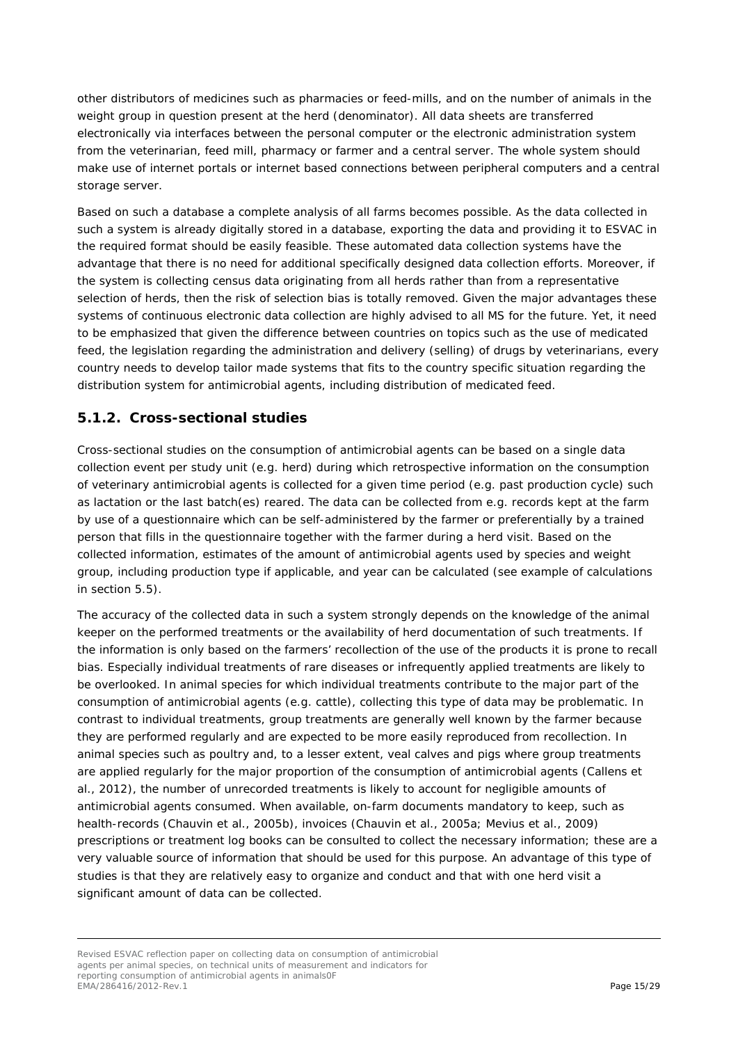other distributors of medicines such as pharmacies or feed-mills, and on the number of animals in the weight group in question present at the herd (denominator). All data sheets are transferred electronically via interfaces between the personal computer or the electronic administration system from the veterinarian, feed mill, pharmacy or farmer and a central server. The whole system should make use of internet portals or internet based connections between peripheral computers and a central storage server.

Based on such a database a complete analysis of all farms becomes possible. As the data collected in such a system is already digitally stored in a database, exporting the data and providing it to ESVAC in the required format should be easily feasible. These automated data collection systems have the advantage that there is no need for additional specifically designed data collection efforts. Moreover, if the system is collecting census data originating from all herds rather than from a representative selection of herds, then the risk of selection bias is totally removed. Given the major advantages these systems of continuous electronic data collection are highly advised to all MS for the future. Yet, it need to be emphasized that given the difference between countries on topics such as the use of medicated feed, the legislation regarding the administration and delivery (selling) of drugs by veterinarians, every country needs to develop tailor made systems that fits to the country specific situation regarding the distribution system for antimicrobial agents, including distribution of medicated feed.

### <span id="page-14-0"></span>**5.1.2. Cross-sectional studies**

Cross-sectional studies on the consumption of antimicrobial agents can be based on a single data collection event per study unit (e.g. herd) during which retrospective information on the consumption of veterinary antimicrobial agents is collected for a given time period (e.g. past production cycle) such as lactation or the last batch(es) reared. The data can be collected from e.g. records kept at the farm by use of a questionnaire which can be self-administered by the farmer or preferentially by a trained person that fills in the questionnaire together with the farmer during a herd visit. Based on the collected information, estimates of the amount of antimicrobial agents used by species and weight group, including production type if applicable, and year can be calculated (see example of calculations in section 5.5).

The accuracy of the collected data in such a system strongly depends on the knowledge of the animal keeper on the performed treatments or the availability of herd documentation of such treatments. If the information is only based on the farmers' recollection of the use of the products it is prone to recall bias. Especially individual treatments of rare diseases or infrequently applied treatments are likely to be overlooked. In animal species for which individual treatments contribute to the major part of the consumption of antimicrobial agents (e.g. cattle), collecting this type of data may be problematic. In contrast to individual treatments, group treatments are generally well known by the farmer because they are performed regularly and are expected to be more easily reproduced from recollection. In animal species such as poultry and, to a lesser extent, veal calves and pigs where group treatments are applied regularly for the major proportion of the consumption of antimicrobial agents [\(Callens et](#page-27-3)  [al., 2012\)](#page-27-3), the number of unrecorded treatments is likely to account for negligible amounts of antimicrobial agents consumed. When available, on-farm documents mandatory to keep, such as health-records [\(Chauvin et al., 2005b\)](#page-27-4), invoices [\(Chauvin et al., 2005a;](#page-27-6) [Mevius et al., 2009\)](#page-28-11) prescriptions or treatment log books can be consulted to collect the necessary information; these are a very valuable source of information that should be used for this purpose. An advantage of this type of studies is that they are relatively easy to organize and conduct and that with one herd visit a significant amount of data can be collected.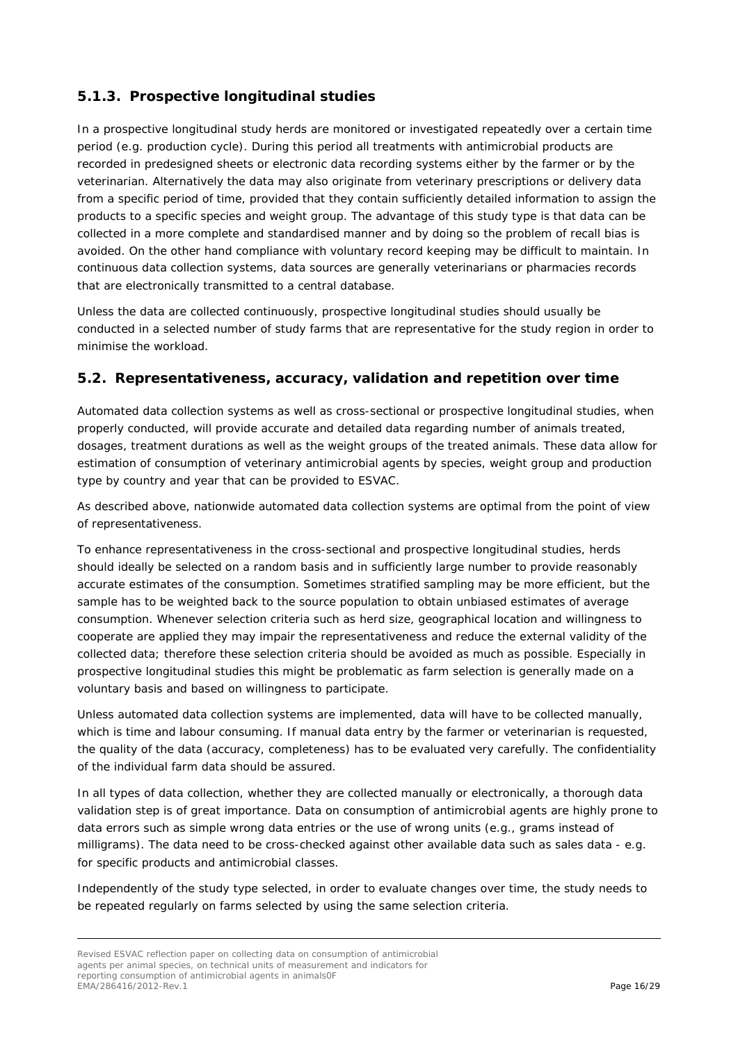## <span id="page-15-0"></span>**5.1.3. Prospective longitudinal studies**

In a prospective longitudinal study herds are monitored or investigated repeatedly over a certain time period (e.g. production cycle). During this period all treatments with antimicrobial products are recorded in predesigned sheets or electronic data recording systems either by the farmer or by the veterinarian. Alternatively the data may also originate from veterinary prescriptions or delivery data from a specific period of time, provided that they contain sufficiently detailed information to assign the products to a specific species and weight group. The advantage of this study type is that data can be collected in a more complete and standardised manner and by doing so the problem of recall bias is avoided. On the other hand compliance with voluntary record keeping may be difficult to maintain. In continuous data collection systems, data sources are generally veterinarians or pharmacies records that are electronically transmitted to a central database.

Unless the data are collected continuously, prospective longitudinal studies should usually be conducted in a selected number of study farms that are representative for the study region in order to minimise the workload.

### <span id="page-15-1"></span>*5.2. Representativeness, accuracy, validation and repetition over time*

Automated data collection systems as well as cross-sectional or prospective longitudinal studies, when properly conducted, will provide accurate and detailed data regarding number of animals treated, dosages, treatment durations as well as the weight groups of the treated animals. These data allow for estimation of consumption of veterinary antimicrobial agents by species, weight group and production type by country and year that can be provided to ESVAC.

As described above, nationwide automated data collection systems are optimal from the point of view of representativeness.

To enhance representativeness in the cross-sectional and prospective longitudinal studies, herds should ideally be selected on a random basis and in sufficiently large number to provide reasonably accurate estimates of the consumption. Sometimes stratified sampling may be more efficient, but the sample has to be weighted back to the source population to obtain unbiased estimates of average consumption. Whenever selection criteria such as herd size, geographical location and willingness to cooperate are applied they may impair the representativeness and reduce the external validity of the collected data; therefore these selection criteria should be avoided as much as possible. Especially in prospective longitudinal studies this might be problematic as farm selection is generally made on a voluntary basis and based on willingness to participate.

Unless automated data collection systems are implemented, data will have to be collected manually, which is time and labour consuming. If manual data entry by the farmer or veterinarian is requested, the quality of the data (accuracy, completeness) has to be evaluated very carefully. The confidentiality of the individual farm data should be assured.

In all types of data collection, whether they are collected manually or electronically, a thorough data validation step is of great importance. Data on consumption of antimicrobial agents are highly prone to data errors such as simple wrong data entries or the use of wrong units (e.g., grams instead of milligrams). The data need to be cross-checked against other available data such as sales data - e.g. for specific products and antimicrobial classes.

Independently of the study type selected, in order to evaluate changes over time, the study needs to be repeated regularly on farms selected by using the same selection criteria.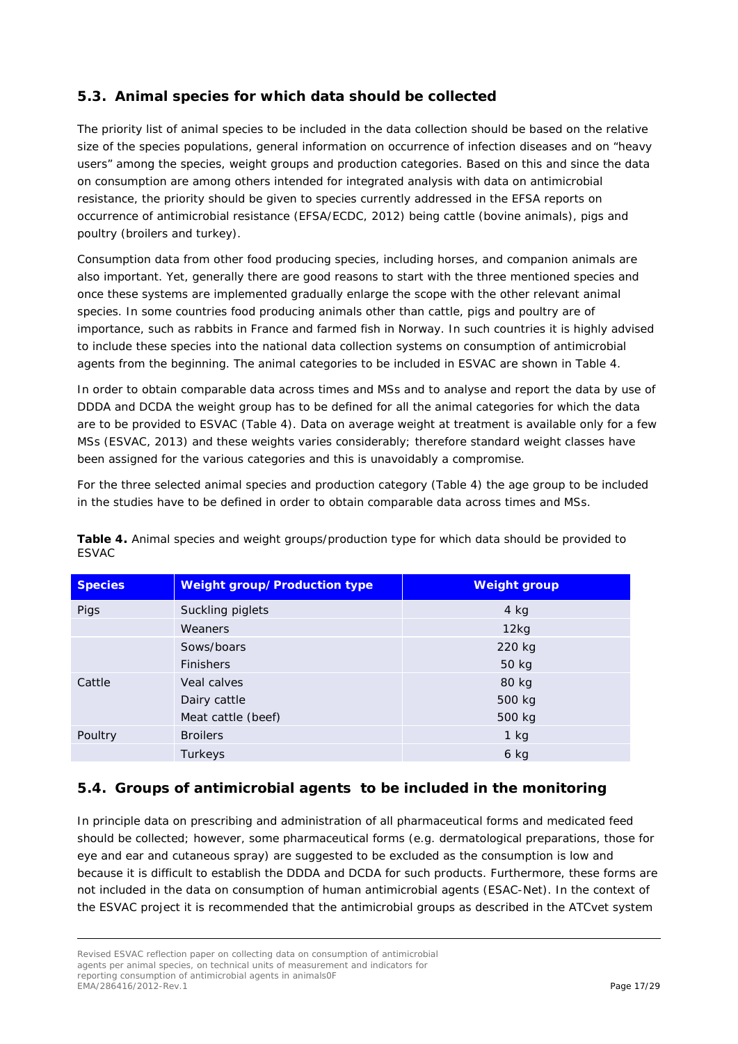## <span id="page-16-0"></span>*5.3. Animal species for which data should be collected*

The priority list of animal species to be included in the data collection should be based on the relative size of the species populations, general information on occurrence of infection diseases and on "heavy users" among the species, weight groups and production categories. Based on this and since the data on consumption are among others intended for integrated analysis with data on antimicrobial resistance, the priority should be given to species currently addressed in the EFSA reports on occurrence of antimicrobial resistance [\(EFSA/ECDC, 2012\)](#page-28-12) being cattle *(bovine animals)*, pigs and poultry (broilers and turkey*)*.

Consumption data from other food producing species, including horses, and companion animals are also important. Yet, generally there are good reasons to start with the three mentioned species and once these systems are implemented gradually enlarge the scope with the other relevant animal species. In some countries food producing animals other than cattle, pigs and poultry are of importance, such as rabbits in France and farmed fish in Norway. In such countries it is highly advised to include these species into the national data collection systems on consumption of antimicrobial agents from the beginning. The animal categories to be included in ESVAC are shown in Table 4.

In order to obtain comparable data across times and MSs and to analyse and report the data by use of DDDA and DCDA the weight group has to be defined for all the animal categories for which the data are to be provided to ESVAC (Table 4). Data on average weight at treatment is available only for a few MSs [\(ESVAC, 2013\)](#page-28-13) and these weights varies considerably; therefore standard weight classes have been assigned for the various categories and this is unavoidably a compromise.

For the three selected animal species and production category (Table 4) the age group to be included in the studies have to be defined in order to obtain comparable data across times and MSs.

| <b>Species</b> | <b>Weight group/Production type</b> | <b>Weight group</b> |
|----------------|-------------------------------------|---------------------|
| Pigs           | Suckling piglets                    | $4$ kg              |
|                | Weaners                             | 12kg                |
|                | Sows/boars                          | 220 kg              |
|                | <b>Finishers</b>                    | 50 kg               |
| Cattle         | Veal calves                         | 80 kg               |
|                | Dairy cattle                        | 500 kg              |
|                | Meat cattle (beef)                  | 500 kg              |
| Poultry        | <b>Broilers</b>                     | $1$ kg              |
|                | Turkeys                             | $6$ kg              |

**Table 4.** Animal species and weight groups/production type for which data should be provided to ESVAC

#### <span id="page-16-1"></span>*5.4. Groups of antimicrobial agents to be included in the monitoring*

In principle data on prescribing and administration of all pharmaceutical forms and medicated feed should be collected; however, some pharmaceutical forms (e.g. dermatological preparations, those for eye and ear and cutaneous spray) are suggested to be excluded as the consumption is low and because it is difficult to establish the DDDA and DCDA for such products. Furthermore, these forms are not included in the data on consumption of human antimicrobial agents (ESAC-Net). In the context of the ESVAC project it is recommended that the antimicrobial groups as described in the ATCvet system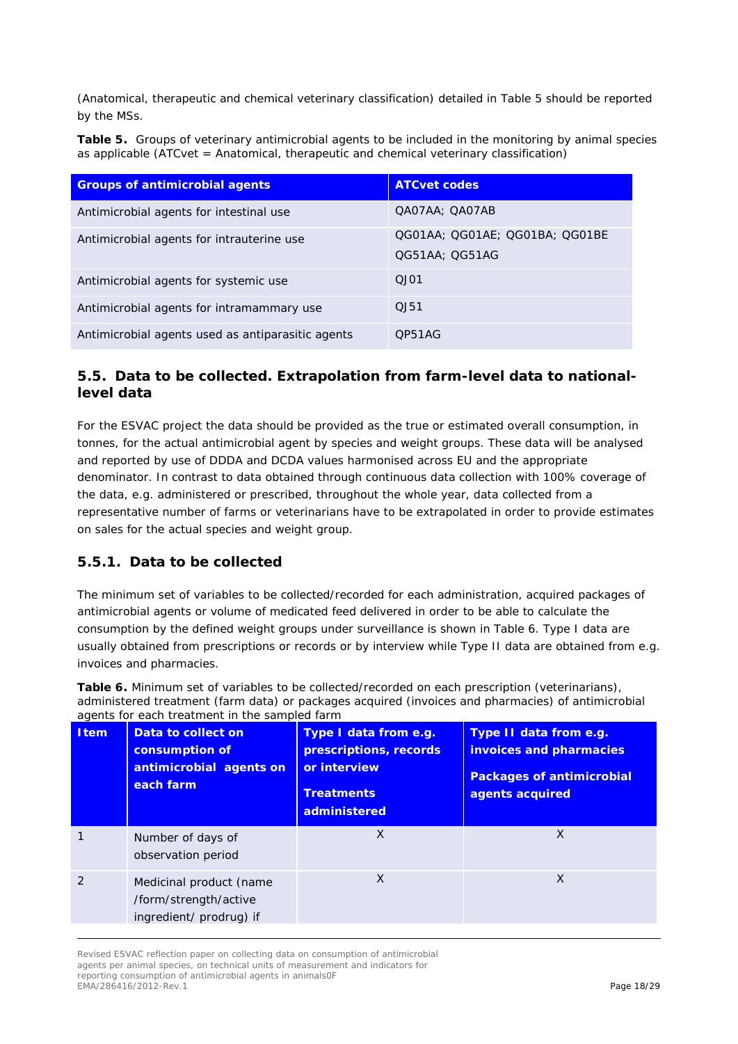(Anatomical, therapeutic and chemical veterinary classification) detailed in Table 5 should be reported by the MSs.

**Table 5.** Groups of veterinary antimicrobial agents to be included in the monitoring by animal species as applicable (ATCvet = Anatomical, therapeutic and chemical veterinary classification)

| <b>Groups of antimicrobial agents</b>             | <b>ATCvet codes</b>            |
|---------------------------------------------------|--------------------------------|
| Antimicrobial agents for intestinal use           | QA07AA; QA07AB                 |
| Antimicrobial agents for intrauterine use         | QG01AA; QG01AE; QG01BA; QG01BE |
|                                                   | QG51AA; QG51AG                 |
| Antimicrobial agents for systemic use             | $O$ J $O1$                     |
| Antimicrobial agents for intramammary use         | 0.151                          |
| Antimicrobial agents used as antiparasitic agents | OP51AG                         |

### <span id="page-17-0"></span>*5.5. Data to be collected. Extrapolation from farm-level data to nationallevel data*

For the ESVAC project the data should be provided as the true or estimated overall consumption, in tonnes, for the actual antimicrobial agent by species and weight groups. These data will be analysed and reported by use of DDDA and DCDA values harmonised across EU and the appropriate denominator. In contrast to data obtained through continuous data collection with 100% coverage of the data, e.g. administered or prescribed, throughout the whole year, data collected from a representative number of farms or veterinarians have to be extrapolated in order to provide estimates on sales for the actual species and weight group.

## <span id="page-17-1"></span>**5.5.1. Data to be collected**

The minimum set of variables to be collected/recorded for each administration, acquired packages of antimicrobial agents or volume of medicated feed delivered in order to be able to calculate the consumption by the defined weight groups under surveillance is shown in Table 6. Type I data are usually obtained from prescriptions or records or by interview while Type II data are obtained from e.g. invoices and pharmacies.

**Table 6.** Minimum set of variables to be collected/recorded on each prescription (veterinarians), administered treatment (farm data) or packages acquired (invoices and pharmacies) of antimicrobial agents for each treatment in the sampled farm

| <b>Item</b> | Data to collect on<br>consumption of<br>antimicrobial agents on<br>each farm | Type I data from e.g.<br>prescriptions, records<br>or interview<br><b>Treatments</b><br>administered | Type II data from e.g.<br>invoices and pharmacies<br><b>Packages of antimicrobial</b><br>agents acquired |
|-------------|------------------------------------------------------------------------------|------------------------------------------------------------------------------------------------------|----------------------------------------------------------------------------------------------------------|
|             | Number of days of<br>observation period                                      | X                                                                                                    | X                                                                                                        |
|             | Medicinal product (name<br>/form/strength/active<br>ingredient/ prodrug) if  | X                                                                                                    | X                                                                                                        |

Revised ESVAC reflection paper on collecting data on consumption of antimicrobial agents per animal species, on technical units of measurement and indicators for reporting consumption of antimicrobial agents in animals0F EMA/286416/2012-Rev.1 Page 18/29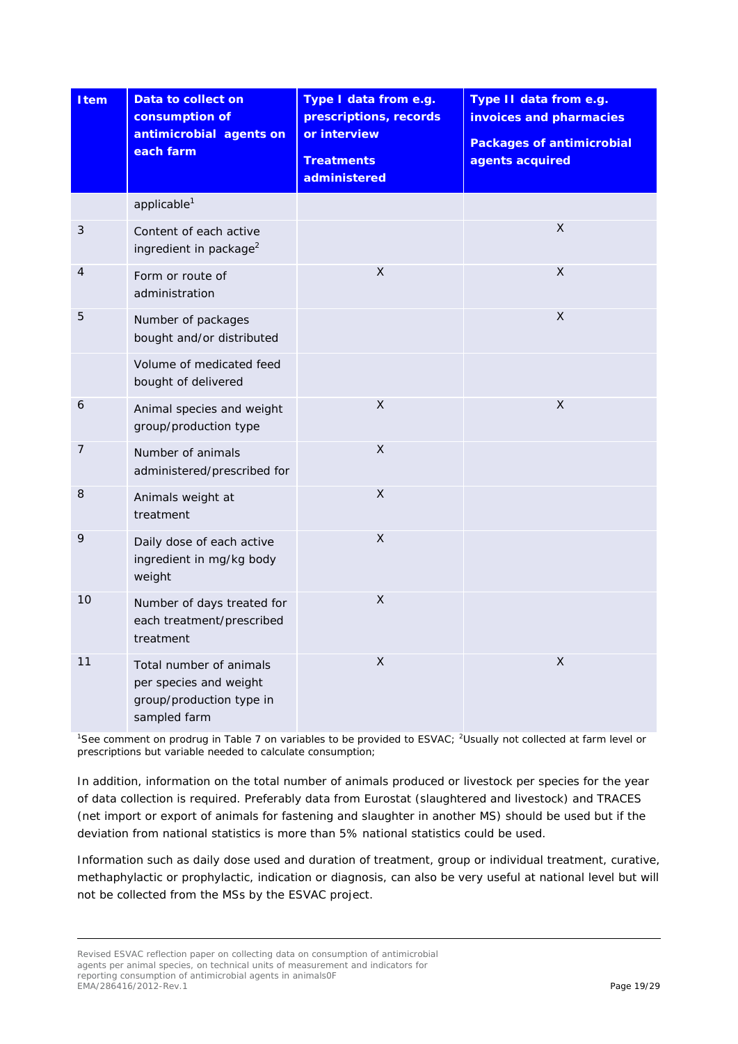| Item           | Data to collect on<br>consumption of<br>antimicrobial agents on<br>each farm                  | Type I data from e.g.<br>prescriptions, records<br>or interview<br><b>Treatments</b><br>administered | Type II data from e.g.<br>invoices and pharmacies<br><b>Packages of antimicrobial</b><br>agents acquired |
|----------------|-----------------------------------------------------------------------------------------------|------------------------------------------------------------------------------------------------------|----------------------------------------------------------------------------------------------------------|
|                | applicable <sup>1</sup>                                                                       |                                                                                                      |                                                                                                          |
| $\mathfrak{Z}$ | Content of each active<br>ingredient in package <sup>2</sup>                                  |                                                                                                      | X                                                                                                        |
| 4              | Form or route of<br>administration                                                            | $\mathsf{X}$                                                                                         | $\sf X$                                                                                                  |
| 5              | Number of packages<br>bought and/or distributed                                               |                                                                                                      | X                                                                                                        |
|                | Volume of medicated feed<br>bought of delivered                                               |                                                                                                      |                                                                                                          |
| 6              | Animal species and weight<br>group/production type                                            | X                                                                                                    | X                                                                                                        |
| 7              | Number of animals<br>administered/prescribed for                                              | $\mathsf X$                                                                                          |                                                                                                          |
| 8              | Animals weight at<br>treatment                                                                | X                                                                                                    |                                                                                                          |
| 9              | Daily dose of each active<br>ingredient in mg/kg body<br>weight                               | X                                                                                                    |                                                                                                          |
| 10             | Number of days treated for<br>each treatment/prescribed<br>treatment                          | $\pmb{\times}$                                                                                       |                                                                                                          |
| 11             | Total number of animals<br>per species and weight<br>group/production type in<br>sampled farm | $\mathsf{X}$                                                                                         | X                                                                                                        |

<sup>1</sup>See comment on prodrug in Table 7 on variables to be provided to ESVAC; <sup>2</sup>Usually not collected at farm level or prescriptions but variable needed to calculate consumption;

In addition, information on the total number of animals produced or livestock per species for the year of data collection is required. Preferably data from Eurostat (slaughtered and livestock) and TRACES (net import or export of animals for fastening and slaughter in another MS) should be used but if the deviation from national statistics is more than 5% national statistics could be used.

Information such as daily dose used and duration of treatment, group or individual treatment, curative, methaphylactic or prophylactic, indication or diagnosis, can also be very useful at national level but will not be collected from the MSs by the ESVAC project.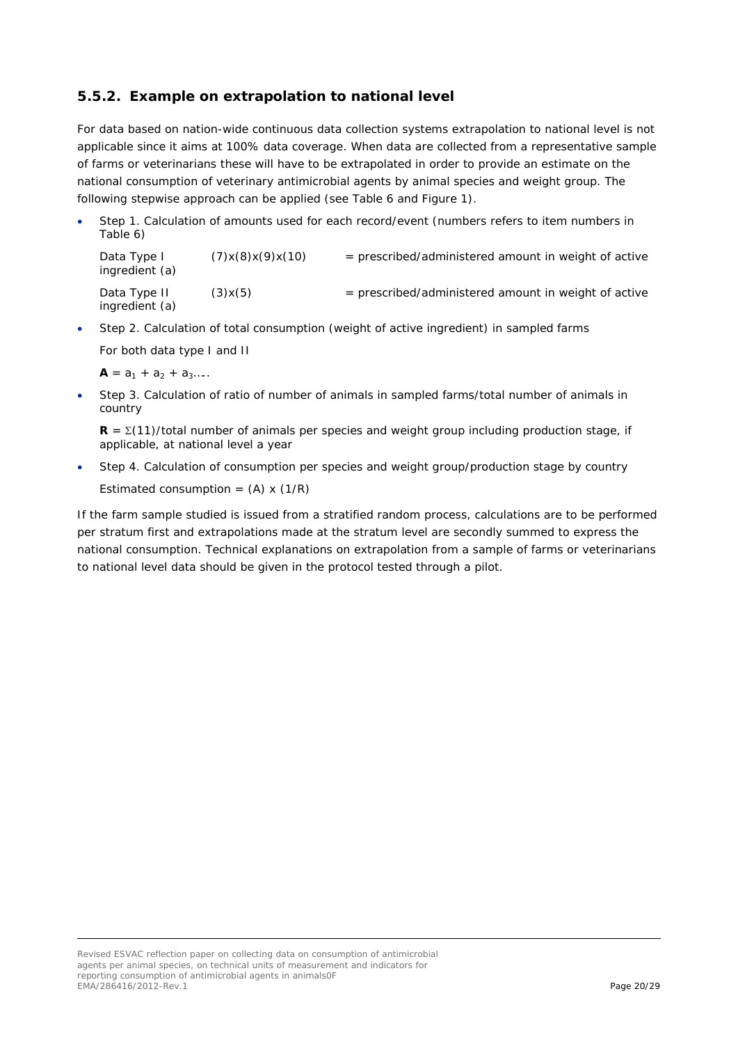## <span id="page-19-0"></span>**5.5.2. Example on extrapolation to national level**

For data based on nation-wide continuous data collection systems extrapolation to national level is not applicable since it aims at 100% data coverage. When data are collected from a representative sample of farms or veterinarians these will have to be extrapolated in order to provide an estimate on the national consumption of veterinary antimicrobial agents by animal species and weight group. The following stepwise approach can be applied (see Table 6 and Figure 1).

• Step 1. Calculation of amounts used for each record/event (numbers refers to item numbers in Table 6)

Data Type I  $(7)x(8)x(9)x(10)$  = prescribed/administered amount in weight of active ingredient (a) Data Type II  $(3)x(5)$  = prescribed/administered amount in weight of active ingredient (a)

• Step 2. Calculation of total consumption (weight of active ingredient) in sampled farms

For both data type I and II

 $A = a_1 + a_2 + a_3...$ 

• Step 3. Calculation of ratio of number of animals in sampled farms/total number of animals in country

 $$ applicable, at national level a year

• Step 4. Calculation of consumption per species and weight group/production stage by country Estimated consumption =  $(A) \times (1/R)$ 

If the farm sample studied is issued from a stratified random process, calculations are to be performed per stratum first and extrapolations made at the stratum level are secondly summed to express the national consumption. Technical explanations on extrapolation from a sample of farms or veterinarians to national level data should be given in the protocol tested through a pilot.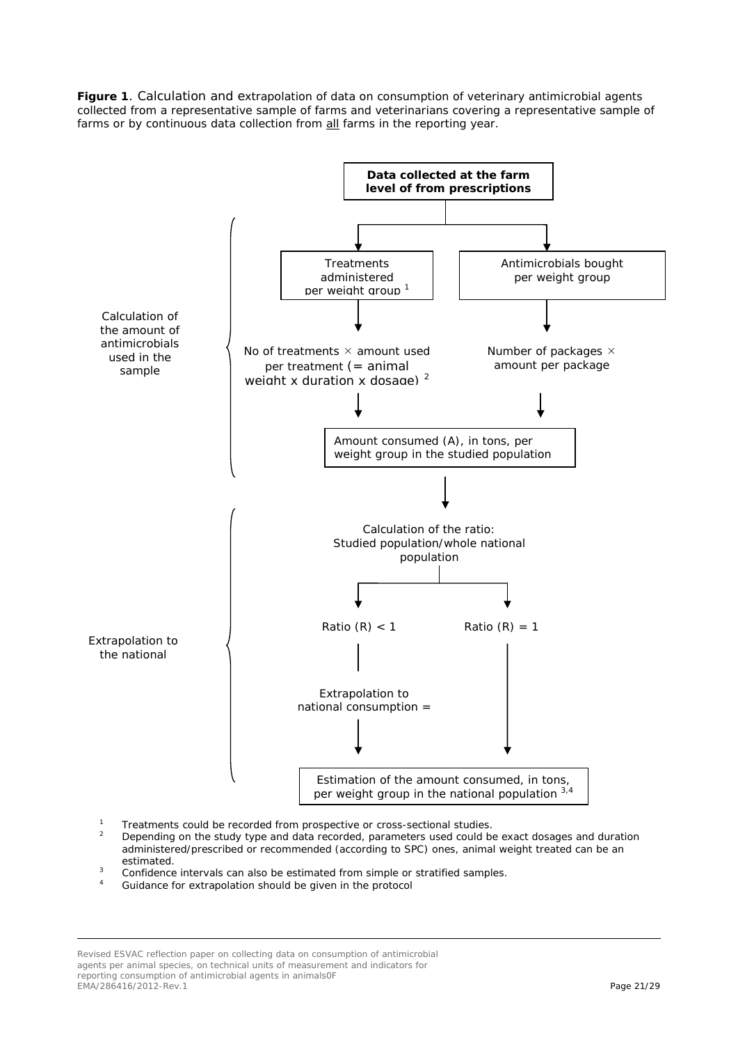**Figure 1**. Calculation and extrapolation of data on consumption of veterinary antimicrobial agents collected from a representative sample of farms and veterinarians covering a representative sample of farms or by continuous data collection from all farms in the reporting year.



- <sup>1</sup> Treatments could be recorded from prospective or cross-sectional studies.<br><sup>2</sup> Depending on the study type and data recorded, parameters used could b
- <sup>2</sup> Depending on the study type and data recorded, parameters used could be exact dosages and duration administered/prescribed or recommended (according to SPC) ones, animal weight treated can be an estimated.<br>3 Confidence intervals can also be estimated from simple or stratified samples.
- 
- Guidance for extrapolation should be given in the protocol

Revised ESVAC reflection paper on collecting data on consumption of antimicrobial agents per animal species, on technical units of measurement and indicators for reporting consumption of antimicrobial agents in animals0F EMA/286416/2012-Rev.1 Page 21/29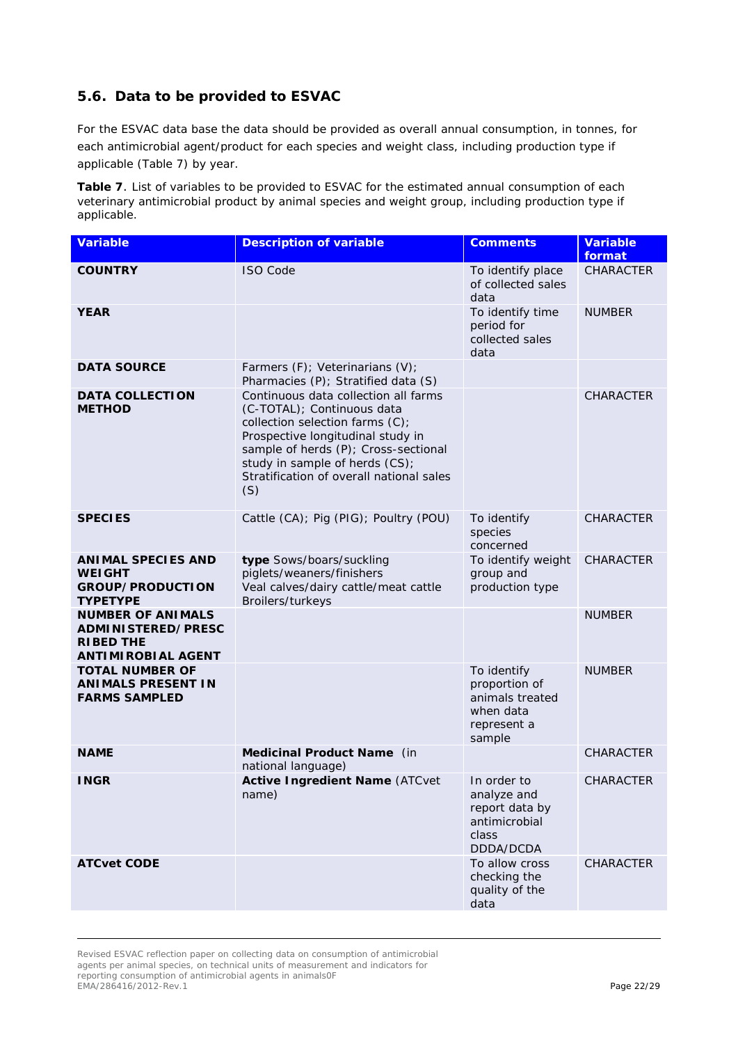## <span id="page-21-0"></span>*5.6. Data to be provided to ESVAC*

For the ESVAC data base the data should be provided as overall annual consumption, in tonnes, for each antimicrobial agent/product for each species and weight class, including production type if applicable (Table 7) by year.

**Table 7**. List of variables to be provided to ESVAC for the estimated annual consumption of each veterinary antimicrobial product by animal species and weight group, including production type if applicable.

| <b>Variable</b>                                                                                        | <b>Description of variable</b>                                                                                                                                                                                                                                          | <b>Comments</b>                                                                       | <b>Variable</b><br>format |
|--------------------------------------------------------------------------------------------------------|-------------------------------------------------------------------------------------------------------------------------------------------------------------------------------------------------------------------------------------------------------------------------|---------------------------------------------------------------------------------------|---------------------------|
| <b>COUNTRY</b>                                                                                         | <b>ISO Code</b>                                                                                                                                                                                                                                                         | To identify place<br>of collected sales<br>data                                       | <b>CHARACTER</b>          |
| <b>YEAR</b>                                                                                            |                                                                                                                                                                                                                                                                         | To identify time<br>period for<br>collected sales<br>data                             | <b>NUMBER</b>             |
| <b>DATA SOURCE</b>                                                                                     | Farmers (F); Veterinarians (V);<br>Pharmacies (P); Stratified data (S)                                                                                                                                                                                                  |                                                                                       |                           |
| <b>DATA COLLECTION</b><br><b>METHOD</b>                                                                | Continuous data collection all farms<br>(C-TOTAL); Continuous data<br>collection selection farms (C);<br>Prospective longitudinal study in<br>sample of herds (P); Cross-sectional<br>study in sample of herds (CS);<br>Stratification of overall national sales<br>(S) |                                                                                       | CHARACTER                 |
| <b>SPECIES</b>                                                                                         | Cattle (CA); Pig (PIG); Poultry (POU)                                                                                                                                                                                                                                   | To identify<br>species<br>concerned                                                   | <b>CHARACTER</b>          |
| <b>ANIMAL SPECIES AND</b><br><b>WEIGHT</b><br><b>GROUP/PRODUCTION</b><br><b>TYPETYPE</b>               | type Sows/boars/suckling<br>piglets/weaners/finishers<br>Veal calves/dairy cattle/meat cattle<br>Broilers/turkeys                                                                                                                                                       | To identify weight<br>group and<br>production type                                    | <b>CHARACTER</b>          |
| <b>NUMBER OF ANIMALS</b><br><b>ADMINISTERED/PRESC</b><br><b>RIBED THE</b><br><b>ANTIMIROBIAL AGENT</b> |                                                                                                                                                                                                                                                                         |                                                                                       | <b>NUMBER</b>             |
| <b>TOTAL NUMBER OF</b><br><b>ANIMALS PRESENT IN</b><br><b>FARMS SAMPLED</b>                            |                                                                                                                                                                                                                                                                         | To identify<br>proportion of<br>animals treated<br>when data<br>represent a<br>sample | <b>NUMBER</b>             |
| <b>NAME</b>                                                                                            | Medicinal Product Name (in<br>national language)                                                                                                                                                                                                                        |                                                                                       | <b>CHARACTER</b>          |
| <b>INGR</b>                                                                                            | <b>Active Ingredient Name (ATCvet</b><br>name)                                                                                                                                                                                                                          | In order to<br>analyze and<br>report data by<br>antimicrobial<br>class<br>DDDA/DCDA   | CHARACTER                 |
| <b>ATCvet CODE</b>                                                                                     |                                                                                                                                                                                                                                                                         | To allow cross<br>checking the<br>quality of the<br>data                              | <b>CHARACTER</b>          |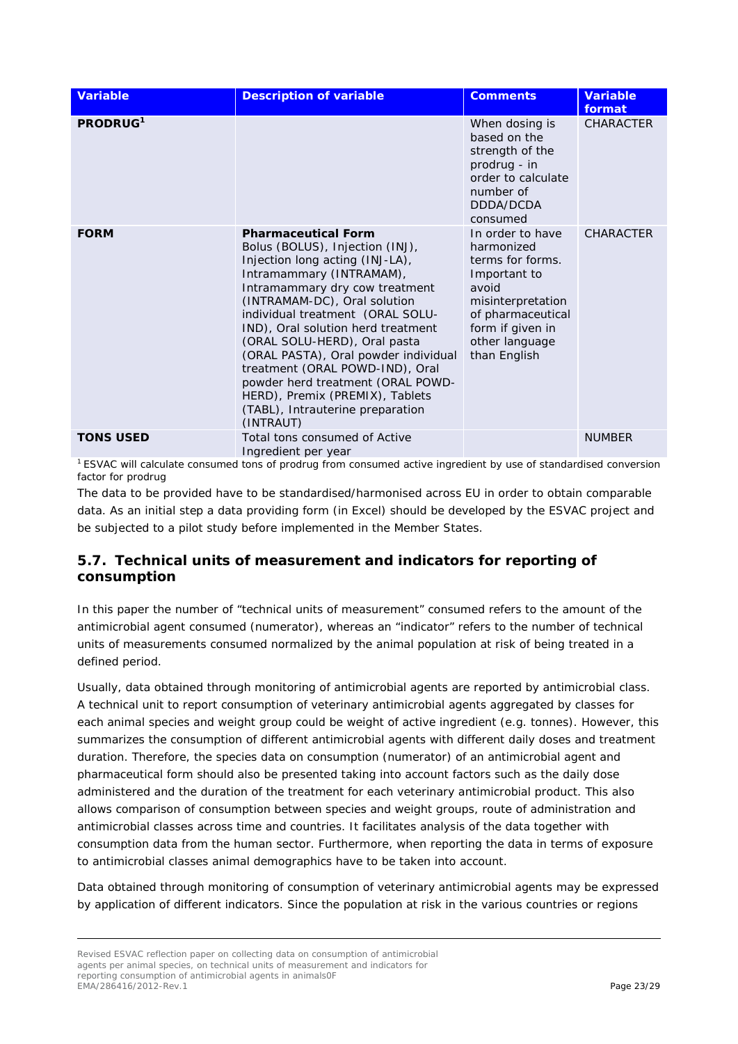| <b>Variable</b>      | <b>Description of variable</b>                                                                                                                                                                                                                                                                                                                                                                                                                                                                               | <b>Comments</b>                                                                                                                                                             | <b>Variable</b><br>format |
|----------------------|--------------------------------------------------------------------------------------------------------------------------------------------------------------------------------------------------------------------------------------------------------------------------------------------------------------------------------------------------------------------------------------------------------------------------------------------------------------------------------------------------------------|-----------------------------------------------------------------------------------------------------------------------------------------------------------------------------|---------------------------|
| PRODRUG <sup>1</sup> |                                                                                                                                                                                                                                                                                                                                                                                                                                                                                                              | When dosing is<br>based on the<br>strength of the<br>prodrug - in<br>order to calculate<br>number of<br>DDDA/DCDA<br>consumed                                               | <b>CHARACTER</b>          |
| <b>FORM</b>          | <b>Pharmaceutical Form</b><br>Bolus (BOLUS), Injection (INJ),<br>Injection long acting (INJ-LA),<br>Intramammary (INTRAMAM),<br>Intramammary dry cow treatment<br>(INTRAMAM-DC), Oral solution<br>individual treatment (ORAL SOLU-<br>IND), Oral solution herd treatment<br>(ORAL SOLU-HERD), Oral pasta<br>(ORAL PASTA), Oral powder individual<br>treatment (ORAL POWD-IND), Oral<br>powder herd treatment (ORAL POWD-<br>HERD), Premix (PREMIX), Tablets<br>(TABL), Intrauterine preparation<br>(INTRAUT) | In order to have<br>harmonized<br>terms for forms.<br>Important to<br>avoid<br>misinterpretation<br>of pharmaceutical<br>form if given in<br>other language<br>than English | <b>CHARACTER</b>          |
| <b>TONS USED</b>     | Total tons consumed of Active<br>Ingredient per year                                                                                                                                                                                                                                                                                                                                                                                                                                                         |                                                                                                                                                                             | <b>NUMBER</b>             |

1 ESVAC will calculate consumed tons of prodrug from consumed active ingredient by use of standardised conversion factor for prodrug

The data to be provided have to be standardised/harmonised across EU in order to obtain comparable data. As an initial step a data providing form (in Excel) should be developed by the ESVAC project and be subjected to a pilot study before implemented in the Member States.

## <span id="page-22-0"></span>*5.7. Technical units of measurement and indicators for reporting of consumption*

In this paper the number of "technical units of measurement" consumed refers to the amount of the antimicrobial agent consumed (numerator), whereas an "indicator" refers to the number of technical units of measurements consumed normalized by the animal population at risk of being treated in a defined period.

Usually, data obtained through monitoring of antimicrobial agents are reported by antimicrobial class. A technical unit to report consumption of veterinary antimicrobial agents aggregated by classes for each animal species and weight group could be weight of active ingredient (e.g. tonnes). However, this summarizes the consumption of different antimicrobial agents with different daily doses and treatment duration. Therefore, the species data on consumption (numerator) of an antimicrobial agent and pharmaceutical form should also be presented taking into account factors such as the daily dose administered and the duration of the treatment for each veterinary antimicrobial product. This also allows comparison of consumption between species and weight groups, route of administration and antimicrobial classes across time and countries. It facilitates analysis of the data together with consumption data from the human sector. Furthermore, when reporting the data in terms of exposure to antimicrobial classes animal demographics have to be taken into account.

Data obtained through monitoring of consumption of veterinary antimicrobial agents may be expressed by application of different indicators. Since the population at risk in the various countries or regions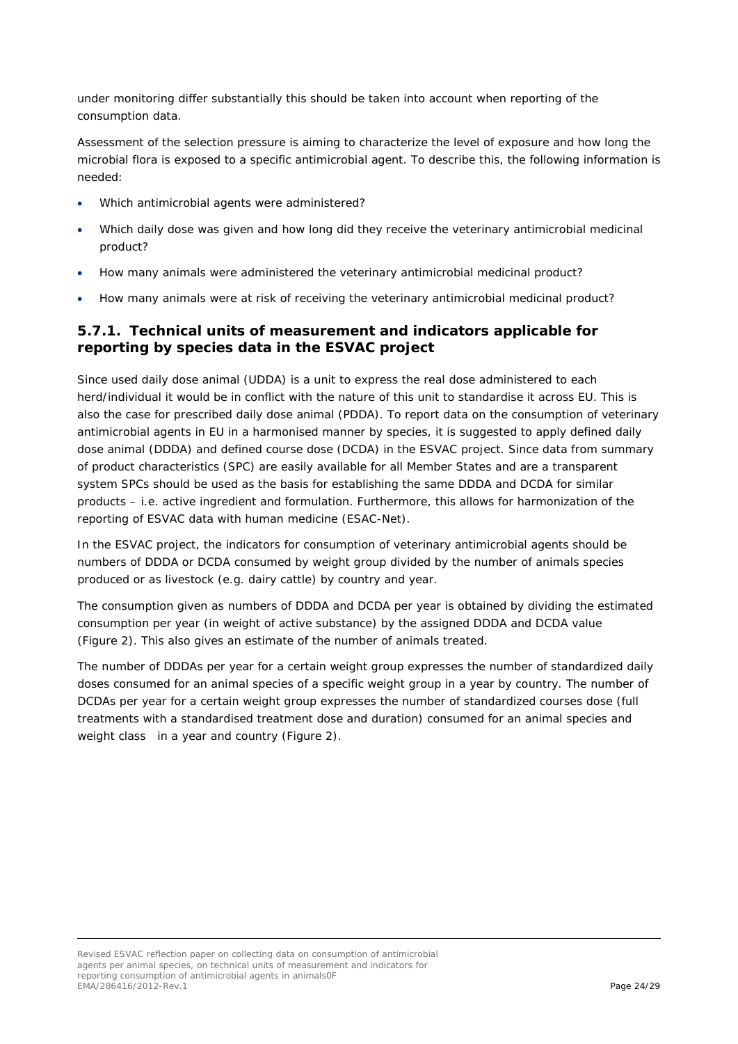under monitoring differ substantially this should be taken into account when reporting of the consumption data.

Assessment of the selection pressure is aiming to characterize the level of exposure and how long the microbial flora is exposed to a specific antimicrobial agent. To describe this, the following information is needed:

- Which antimicrobial agents were administered?
- Which daily dose was given and how long did they receive the veterinary antimicrobial medicinal product?
- How many animals were administered the veterinary antimicrobial medicinal product?
- How many animals were at risk of receiving the veterinary antimicrobial medicinal product?

### <span id="page-23-0"></span>**5.7.1. Technical units of measurement and indicators applicable for reporting by species data in the ESVAC project**

Since used daily dose animal (UDDA) is a unit to express the real dose administered to each herd/individual it would be in conflict with the nature of this unit to standardise it across EU. This is also the case for prescribed daily dose animal (PDDA). To report data on the consumption of veterinary antimicrobial agents in EU in a harmonised manner by species, it is suggested to apply defined daily dose animal (DDDA) and defined course dose (DCDA) in the ESVAC project. Since data from summary of product characteristics (SPC) are easily available for all Member States and are a transparent system SPCs should be used as the basis for establishing the same DDDA and DCDA for similar products – i.e. active ingredient and formulation. Furthermore, this allows for harmonization of the reporting of ESVAC data with human medicine (ESAC-Net).

In the ESVAC project, the indicators for consumption of veterinary antimicrobial agents should be numbers of DDDA or DCDA consumed by weight group divided by the number of animals species produced or as livestock (e.g. dairy cattle) by country and year.

The consumption given as numbers of DDDA and DCDA per year is obtained by dividing the estimated consumption per year (in weight of active substance) by the assigned DDDA and DCDA value (Figure 2). This also gives an estimate of the number of animals treated.

The number of DDDAs per year for a certain weight group expresses the number of standardized daily doses consumed for an animal species of a specific weight group in a year by country. The number of DCDAs per year for a certain weight group expresses the number of standardized courses dose (full treatments with a standardised treatment dose and duration) consumed for an animal species and weight class in a year and country (Figure 2).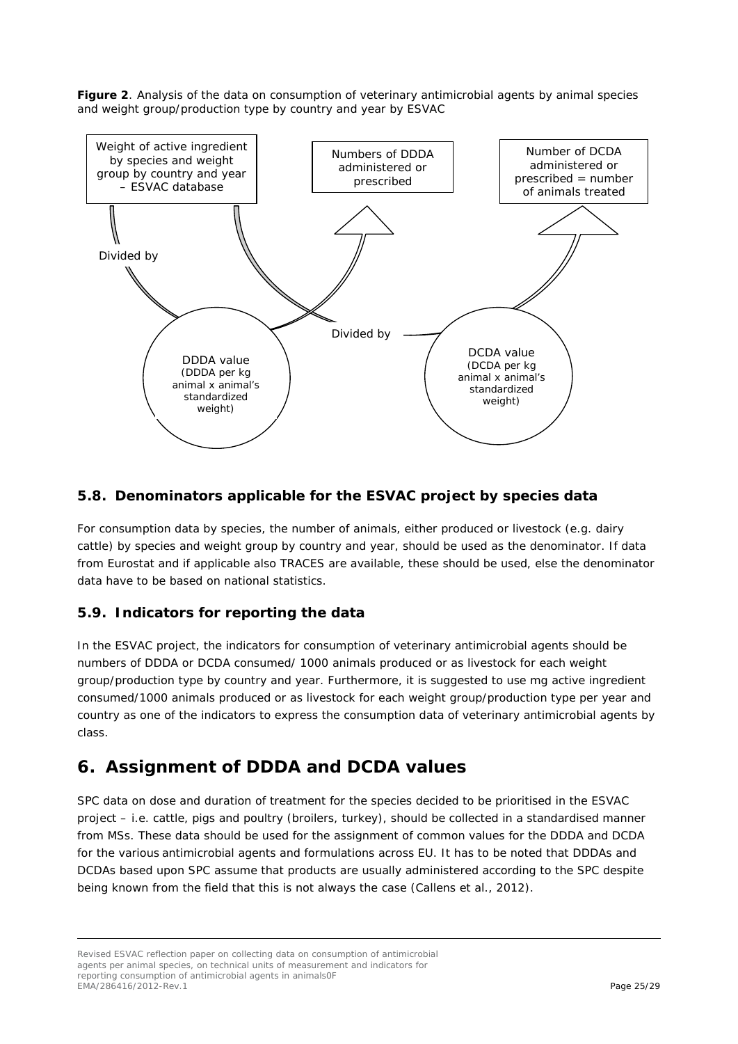**Figure 2**. Analysis of the data on consumption of veterinary antimicrobial agents by animal species and weight group/production type by country and year by ESVAC



## <span id="page-24-0"></span>*5.8. Denominators applicable for the ESVAC project by species data*

For consumption data by species, the number of animals, either produced or livestock (e.g. dairy cattle) by species and weight group by country and year, should be used as the denominator. If data from Eurostat and if applicable also TRACES are available, these should be used, else the denominator data have to be based on national statistics.

## <span id="page-24-1"></span>*5.9. Indicators for reporting the data*

In the ESVAC project, the indicators for consumption of veterinary antimicrobial agents should be numbers of DDDA or DCDA consumed/ 1000 animals produced or as livestock for each weight group/production type by country and year. Furthermore, it is suggested to use mg active ingredient consumed/1000 animals produced or as livestock for each weight group/production type per year and country as one of the indicators to express the consumption data of veterinary antimicrobial agents by class.

## <span id="page-24-2"></span>**6. Assignment of DDDA and DCDA values**

SPC data on dose and duration of treatment for the species decided to be prioritised in the ESVAC project – i.e. cattle, pigs and poultry (broilers, turkey), should be collected in a standardised manner from MSs. These data should be used for the assignment of common values for the DDDA and DCDA for the various antimicrobial agents and formulations across EU. It has to be noted that DDDAs and DCDAs based upon SPC assume that products are usually administered according to the SPC despite being known from the field that this is not always the case [\(Callens et al., 2012\)](#page-27-3).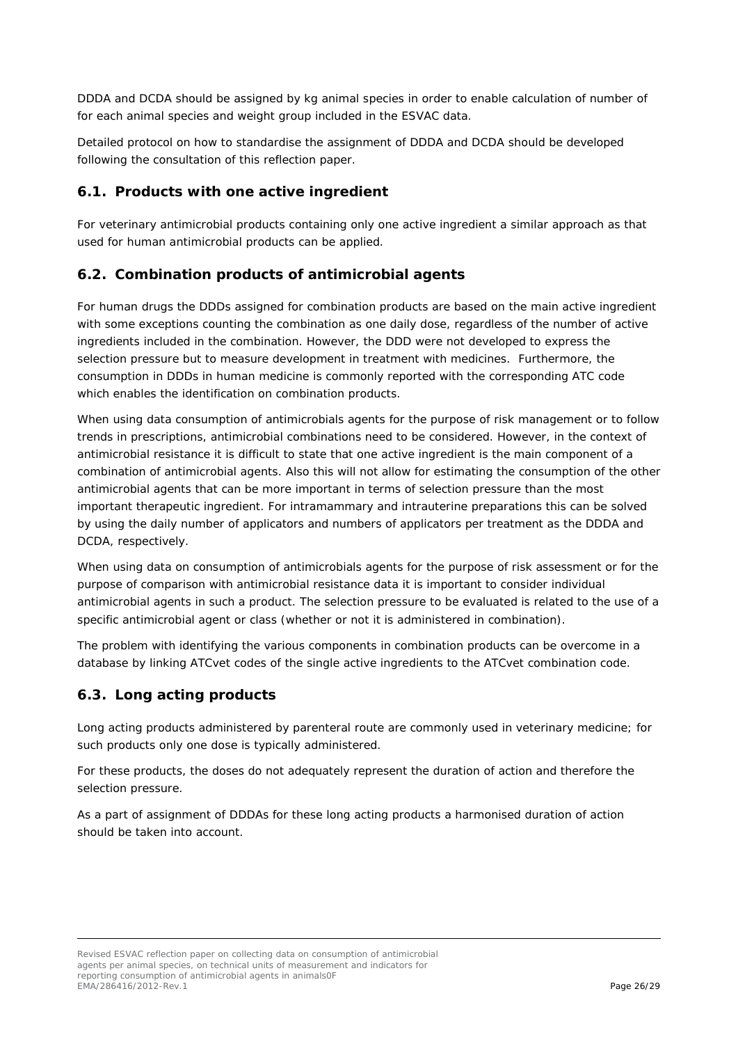DDDA and DCDA should be assigned by kg animal species in order to enable calculation of number of for each animal species and weight group included in the ESVAC data.

Detailed protocol on how to standardise the assignment of DDDA and DCDA should be developed following the consultation of this reflection paper.

### <span id="page-25-0"></span>*6.1. Products with one active ingredient*

For veterinary antimicrobial products containing only one active ingredient a similar approach as that used for human antimicrobial products can be applied.

#### <span id="page-25-1"></span>*6.2. Combination products of antimicrobial agents*

For human drugs the DDDs assigned for combination products are based on the main active ingredient with some exceptions counting the combination as one daily dose, regardless of the number of active ingredients included in the combination. However, the DDD were not developed to express the selection pressure but to measure development in treatment with medicines. Furthermore, the consumption in DDDs in human medicine is commonly reported with the corresponding ATC code which enables the identification on combination products.

When using data consumption of antimicrobials agents for the purpose of risk management or to follow trends in prescriptions, antimicrobial combinations need to be considered. However, in the context of antimicrobial resistance it is difficult to state that one active ingredient is the main component of a combination of antimicrobial agents. Also this will not allow for estimating the consumption of the other antimicrobial agents that can be more important in terms of selection pressure than the most important therapeutic ingredient. For intramammary and intrauterine preparations this can be solved by using the daily number of applicators and numbers of applicators per treatment as the DDDA and DCDA, respectively.

When using data on consumption of antimicrobials agents for the purpose of risk assessment or for the purpose of comparison with antimicrobial resistance data it is important to consider individual antimicrobial agents in such a product. The selection pressure to be evaluated is related to the use of a specific antimicrobial agent or class (whether or not it is administered in combination).

The problem with identifying the various components in combination products can be overcome in a database by linking ATCvet codes of the single active ingredients to the ATCvet combination code.

## <span id="page-25-2"></span>*6.3. Long acting products*

Long acting products administered by parenteral route are commonly used in veterinary medicine; for such products only one dose is typically administered.

For these products, the doses do not adequately represent the duration of action and therefore the selection pressure.

As a part of assignment of DDDAs for these long acting products a harmonised duration of action should be taken into account.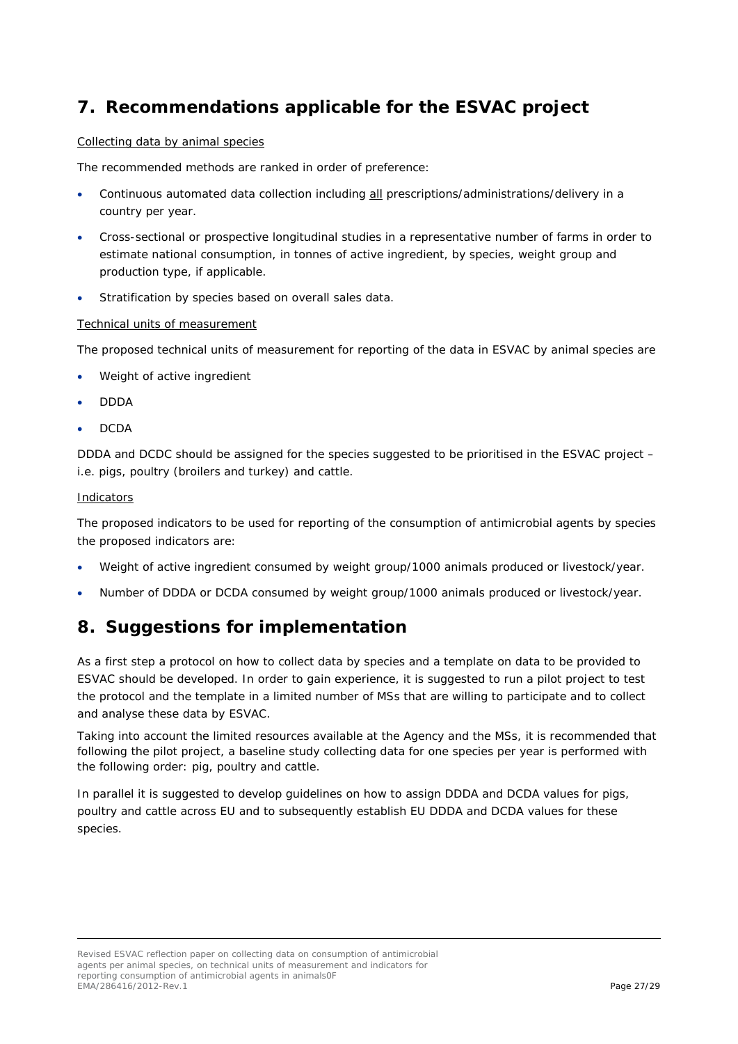# <span id="page-26-0"></span>**7. Recommendations applicable for the ESVAC project**

#### Collecting data by animal species

The recommended methods are ranked in order of preference:

- Continuous automated data collection including all prescriptions/administrations/delivery in a country per year.
- Cross-sectional or prospective longitudinal studies in a representative number of farms in order to estimate national consumption, in tonnes of active ingredient, by species, weight group and production type, if applicable.
- Stratification by species based on overall sales data.

#### Technical units of measurement

The proposed technical units of measurement for reporting of the data in ESVAC by animal species are

- Weight of active ingredient
- DDDA
- DCDA

DDDA and DCDC should be assigned for the species suggested to be prioritised in the ESVAC project – i.e. pigs, poultry (broilers and turkey) and cattle.

#### Indicators

The proposed indicators to be used for reporting of the consumption of antimicrobial agents by species the proposed indicators are:

- Weight of active ingredient consumed by weight group/1000 animals produced or livestock/year.
- Number of DDDA or DCDA consumed by weight group/1000 animals produced or livestock/year.

## <span id="page-26-1"></span>**8. Suggestions for implementation**

As a first step a protocol on how to collect data by species and a template on data to be provided to ESVAC should be developed. In order to gain experience, it is suggested to run a pilot project to test the protocol and the template in a limited number of MSs that are willing to participate and to collect and analyse these data by ESVAC.

Taking into account the limited resources available at the Agency and the MSs, it is recommended that following the pilot project, a baseline study collecting data for one species per year is performed with the following order: pig, poultry and cattle.

In parallel it is suggested to develop guidelines on how to assign DDDA and DCDA values for pigs, poultry and cattle across EU and to subsequently establish EU DDDA and DCDA values for these species.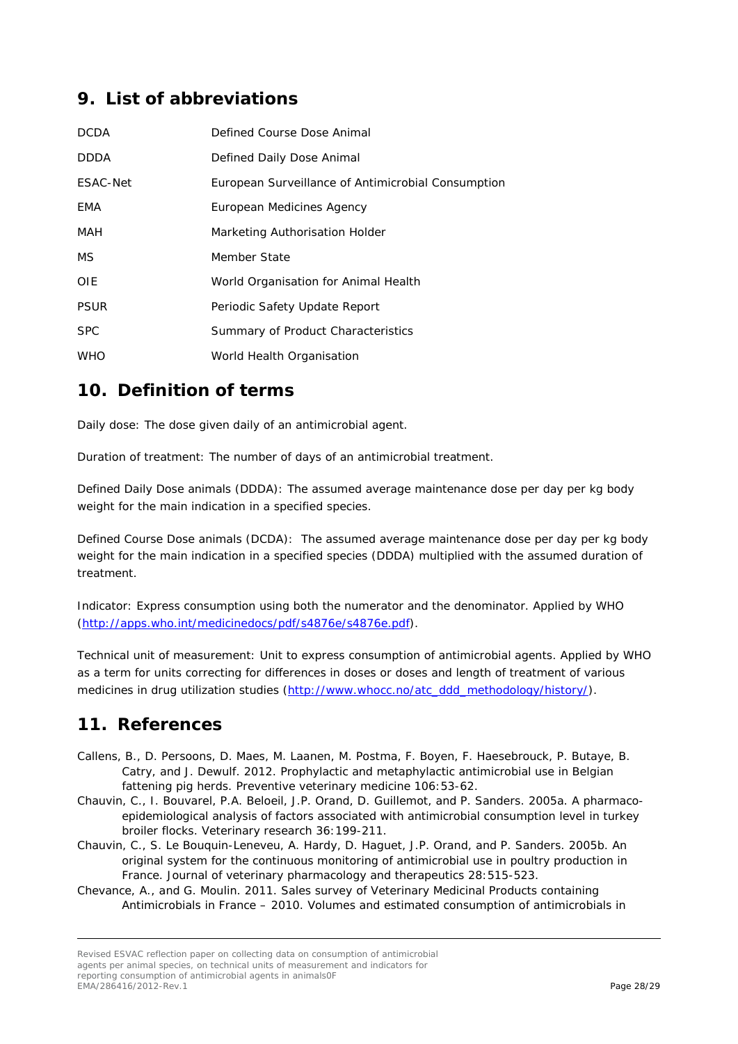# <span id="page-27-0"></span>**9. List of abbreviations**

| <b>DCDA</b> | Defined Course Dose Animal                         |
|-------------|----------------------------------------------------|
| <b>DDDA</b> | Defined Daily Dose Animal                          |
| ESAC-Net    | European Surveillance of Antimicrobial Consumption |
| EMA         | European Medicines Agency                          |
| MAH         | Marketing Authorisation Holder                     |
| MS.         | Member State                                       |
| <b>OIE</b>  | World Organisation for Animal Health               |
| <b>PSUR</b> | Periodic Safety Update Report                      |
| <b>SPC</b>  | Summary of Product Characteristics                 |
| <b>WHO</b>  | World Health Organisation                          |

## <span id="page-27-1"></span>**10. Definition of terms**

Daily dose: The dose given daily of an antimicrobial agent.

Duration of treatment: The number of days of an antimicrobial treatment.

Defined Daily Dose animals (DDDA): The assumed average maintenance dose per day per kg body weight for the main indication in a specified species.

Defined Course Dose animals (DCDA): The assumed average maintenance dose per day per kg body weight for the main indication in a specified species (DDDA) multiplied with the assumed duration of treatment.

Indicator: Express consumption using both the numerator and the denominator. Applied by WHO [\(http://apps.who.int/medicinedocs/pdf/s4876e/s4876e.pdf\)](http://apps.who.int/medicinedocs/pdf/s4876e/s4876e.pdf).

Technical unit of measurement: Unit to express consumption of antimicrobial agents. Applied by WHO as a term for units correcting for differences in doses or doses and length of treatment of various medicines in drug utilization studies [\(http://www.whocc.no/atc\\_ddd\\_methodology/history/\)](http://www.whocc.no/atc_ddd_methodology/history/).

## <span id="page-27-2"></span>**11. References**

- <span id="page-27-3"></span>Callens, B., D. Persoons, D. Maes, M. Laanen, M. Postma, F. Boyen, F. Haesebrouck, P. Butaye, B. Catry, and J. Dewulf. 2012. Prophylactic and metaphylactic antimicrobial use in Belgian fattening pig herds. *Preventive veterinary medicine* 106:53-62.
- <span id="page-27-6"></span>Chauvin, C., I. Bouvarel, P.A. Beloeil, J.P. Orand, D. Guillemot, and P. Sanders. 2005a. A pharmacoepidemiological analysis of factors associated with antimicrobial consumption level in turkey broiler flocks. *Veterinary research* 36:199-211.
- <span id="page-27-4"></span>Chauvin, C., S. Le Bouquin-Leneveu, A. Hardy, D. Haguet, J.P. Orand, and P. Sanders. 2005b. An original system for the continuous monitoring of antimicrobial use in poultry production in France. *Journal of veterinary pharmacology and therapeutics* 28:515-523.
- <span id="page-27-5"></span>Chevance, A., and G. Moulin. 2011. Sales survey of Veterinary Medicinal Products containing Antimicrobials in France – 2010. Volumes and estimated consumption of antimicrobials in